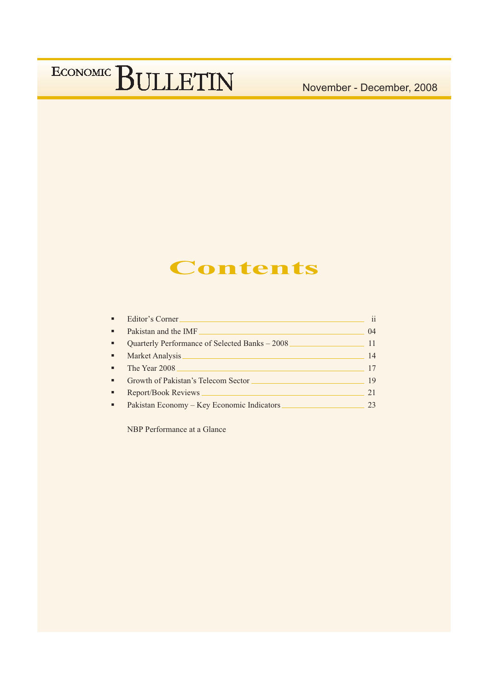November - December, 2008

## **Contents**

| $\blacksquare$ | Editor's Corner                                | $\mathbf{ii}$ |
|----------------|------------------------------------------------|---------------|
| ٠              | Pakistan and the IMF                           | 04            |
| ٠              | Quarterly Performance of Selected Banks - 2008 | 11            |
| ٠              | Market Analysis                                | 14            |
| $\blacksquare$ | The Year 2008                                  | 17            |
| ٠              | Growth of Pakistan's Telecom Sector            | 19            |
| ٠              | <b>Report/Book Reviews</b>                     | 21            |
|                | Pakistan Economy – Key Economic Indicators     | 23            |

NBP Performance at a Glance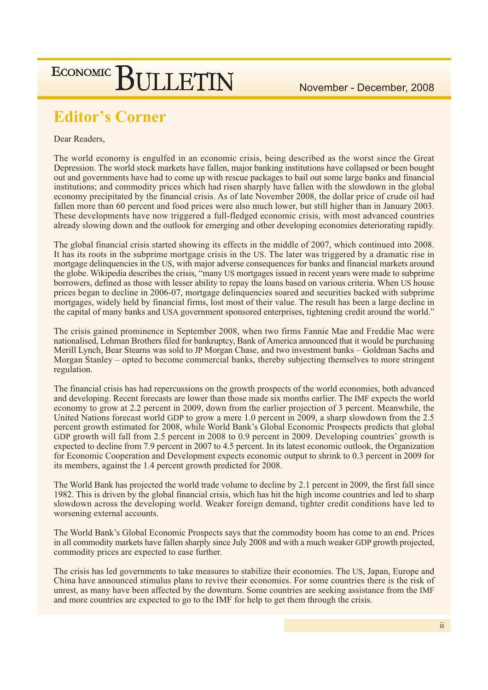## **Editor's Corner**

#### Dear Readers,

The world economy is engulfed in an economic crisis, being described as the worst since the Great Depression. The world stock markets have fallen, major banking institutions have collapsed or been bought out and governments have had to come up with rescue packages to bail out some large banks and financial institutions; and commodity prices which had risen sharply have fallen with the slowdown in the global economy precipitated by the financial crisis. As of late November 2008, the dollar price of crude oil had fallen more than 60 percent and food prices were also much lower, but still higher than in January 2003. These developments have now triggered a full-fledged economic crisis, with most advanced countries already slowing down and the outlook for emerging and other developing economies deteriorating rapidly.

The global financial crisis started showing its effects in the middle of 2007, which continued into 2008. It has its roots in the subprime mortgage crisis in the US. The later was triggered by a dramatic rise in mortgage delinquencies in the US, with major adverse consequences for banks and financial markets around the globe. Wikipedia describes the crisis, "many US mortgages issued in recent years were made to subprime borrowers, defined as those with lesser ability to repay the loans based on various criteria. When US house prices began to decline in 2006-07, mortgage delinquencies soared and securities backed with subprime mortgages, widely held by financial firms, lost most of their value. The result has been a large decline in the capital of many banks and USA government sponsored enterprises, tightening credit around the world."

The crisis gained prominence in September 2008, when two firms Fannie Mae and Freddie Mac were nationalised, Lehman Brothers filed for bankruptcy, Bank of America announced that it would be purchasing Merill Lynch, Bear Stearns was sold to JP Morgan Chase, and two investment banks – Goldman Sachs and Morgan Stanley – opted to become commercial banks, thereby subjecting themselves to more stringent regulation.

The financial crisis has had repercussions on the growth prospects of the world economies, both advanced and developing. Recent forecasts are lower than those made six months earlier. The IMF expects the world economy to grow at 2.2 percent in 2009, down from the earlier projection of 3 percent. Meanwhile, the United Nations forecast world GDP to grow a mere 1.0 percent in 2009, a sharp slowdown from the 2.5 percent growth estimated for 2008, while World Bank's Global Economic Prospects predicts that global GDP growth will fall from 2.5 percent in 2008 to 0.9 percent in 2009. Developing countries' growth is expected to decline from 7.9 percent in 2007 to 4.5 percent. In its latest economic outlook, the Organization for Economic Cooperation and Development expects economic output to shrink to 0.3 percent in 2009 for its members, against the 1.4 percent growth predicted for 2008.

The World Bank has projected the world trade volume to decline by 2.1 percent in 2009, the first fall since 1982. This is driven by the global financial crisis, which has hit the high income countries and led to sharp slowdown across the developing world. Weaker foreign demand, tighter credit conditions have led to worsening external accounts.

The World Bank's Global Economic Prospects says that the commodity boom has come to an end. Prices in all commodity markets have fallen sharply since July 2008 and with a much weaker GDP growth projected, commodity prices are expected to ease further.

The crisis has led governments to take measures to stabilize their economies. The US, Japan, Europe and China have announced stimulus plans to revive their economies. For some countries there is the risk of unrest, as many have been affected by the downturn. Some countries are seeking assistance from the IMF and more countries are expected to go to the IMF for help to get them through the crisis.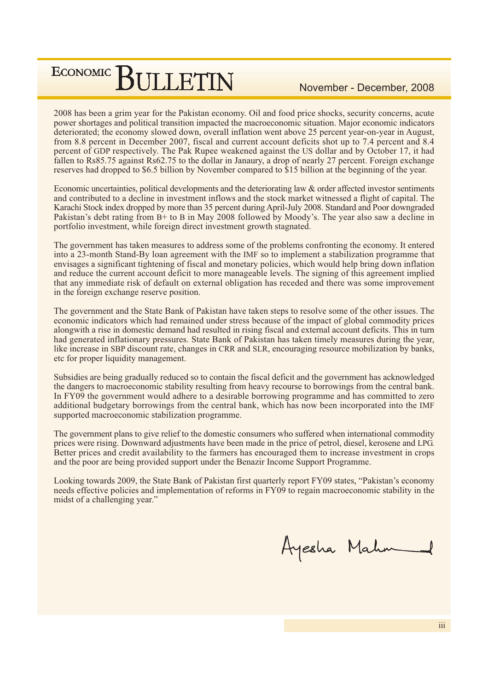2008 has been a grim year for the Pakistan economy. Oil and food price shocks, security concerns, acute power shortages and political transition impacted the macroeconomic situation. Major economic indicators deteriorated; the economy slowed down, overall inflation went above 25 percent year-on-year in August, from 8.8 percent in December 2007, fiscal and current account deficits shot up to 7.4 percent and 8.4 percent of GDP respectively. The Pak Rupee weakened against the US dollar and by October 17, it had fallen to Rs85.75 against Rs62.75 to the dollar in Janaury, a drop of nearly 27 percent. Foreign exchange reserves had dropped to \$6.5 billion by November compared to \$15 billion at the beginning of the year.

Economic uncertainties, political developments and the deteriorating law & order affected investor sentiments and contributed to a decline in investment inflows and the stock market witnessed a flight of capital. The Karachi Stock index dropped by more than 35 percent during April-July 2008. Standard and Poor downgraded Pakistan's debt rating from B+ to B in May 2008 followed by Moody's. The year also saw a decline in portfolio investment, while foreign direct investment growth stagnated.

The government has taken measures to address some of the problems confronting the economy. It entered into a 23-month Stand-By loan agreement with the IMF so to implement a stabilization programme that envisages a significant tightening of fiscal and monetary policies, which would help bring down inflation and reduce the current account deficit to more manageable levels. The signing of this agreement implied that any immediate risk of default on external obligation has receded and there was some improvement in the foreign exchange reserve position.

The government and the State Bank of Pakistan have taken steps to resolve some of the other issues. The economic indicators which had remained under stress because of the impact of global commodity prices alongwith a rise in domestic demand had resulted in rising fiscal and external account deficits. This in turn had generated inflationary pressures. State Bank of Pakistan has taken timely measures during the year, like increase in SBP discount rate, changes in CRR and SLR, encouraging resource mobilization by banks, etc for proper liquidity management.

Subsidies are being gradually reduced so to contain the fiscal deficit and the government has acknowledged the dangers to macroeconomic stability resulting from heavy recourse to borrowings from the central bank. In FY09 the government would adhere to a desirable borrowing programme and has committed to zero additional budgetary borrowings from the central bank, which has now been incorporated into the IMF supported macroeconomic stabilization programme.

The government plans to give relief to the domestic consumers who suffered when international commodity prices were rising. Downward adjustments have been made in the price of petrol, diesel, kerosene and LPG. Better prices and credit availability to the farmers has encouraged them to increase investment in crops and the poor are being provided support under the Benazir Income Support Programme.

Looking towards 2009, the State Bank of Pakistan first quarterly report FY09 states, "Pakistan's economy needs effective policies and implementation of reforms in FY09 to regain macroeconomic stability in the midst of a challenging year."

Ayesha Mahr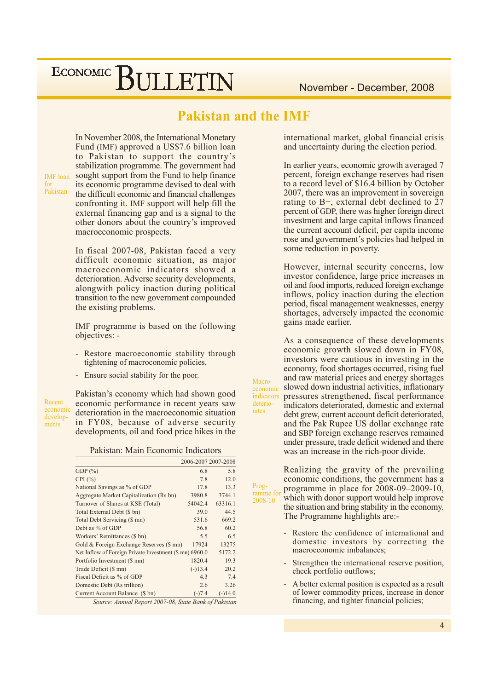### **Pakistan and the IMF**

Macro-

economic

indicators

deterio-

rates

Prog-

In November 2008, the International Monetary Fund (IMF) approved a US\$7.6 billion loan to Pakistan to support the country's stabilization programme. The government had sought support from the Fund to help finance its economic programme devised to deal with the difficult economic and financial challenges confronting it. IMF support will help fill the external financing gap and is a signal to the other donors about the country's improved macroeconomic prospects.

In fiscal 2007-08, Pakistan faced a very difficult economic situation, as major macroeconomic indicators showed a deterioration. Adverse security developments, along with policy inaction during political transition to the new government compounded the existing problems.

IMF programme is based on the following objectives: -

- Restore macroeconomic stability through tightening of macroconomic policies,
- Ensure social stability for the poor.

Recent economic developments

**IMF** loan

Pakistan

Pakistan's economy which had shown good economic performance in recent years saw deterioration in the macroeconomic situation in FY08, because of adverse security developments, oil and food price hikes in the

Pakistan: Main Economic Indicators

|                                                         | 2006-2007 2007-2008 |           |  |  |  |  |  |  |  |
|---------------------------------------------------------|---------------------|-----------|--|--|--|--|--|--|--|
| GDP $(\%)$                                              | 6.8                 | 5.8       |  |  |  |  |  |  |  |
| CPI $(\% )$                                             | 7.8                 | 12.0      |  |  |  |  |  |  |  |
| National Savings as % of GDP                            | 17.8                | 13.3      |  |  |  |  |  |  |  |
| Aggregate Market Capitalization (Rs bn)                 | 3980.8              | 3744.1    |  |  |  |  |  |  |  |
| Turnover of Shares at KSE (Total)                       | 54042.4             | 63316.1   |  |  |  |  |  |  |  |
| Total External Debt (\$ bn)                             | 39.0                | 44.5      |  |  |  |  |  |  |  |
| Total Debt Servicing (\$ mn)                            | 531.6               | 669.2     |  |  |  |  |  |  |  |
| Debt as % of GDP                                        | 56.8                | 60.2      |  |  |  |  |  |  |  |
| Workers' Remittances (\$ bn)                            | 5.5                 | 6.5       |  |  |  |  |  |  |  |
| Gold & Foreign Exchange Reserves (\$ mn)                | 17924               | 13275     |  |  |  |  |  |  |  |
| Net Inflow of Foreign Private Investment (\$ mn) 6960.0 |                     | 5172.2    |  |  |  |  |  |  |  |
| Portfolio Investment (\$ mn)                            | 1820.4              | 19.3      |  |  |  |  |  |  |  |
| Trade Deficit (\$ mn)                                   | $(-)13.4$           | 20.2      |  |  |  |  |  |  |  |
| Fiscal Deficit as % of GDP                              | 4.3                 | 7.4       |  |  |  |  |  |  |  |
| Domestic Debt (Rs trillion)                             | 2.6                 | 3.26      |  |  |  |  |  |  |  |
| Current Account Balance (\$ bn)                         | $(-)7.4$            | $(-)14.0$ |  |  |  |  |  |  |  |
| Source: Annual Report 2007-08, State Bank of Pakistan   |                     |           |  |  |  |  |  |  |  |

international market, global financial crisis and uncertainty during the election period.

In earlier years, economic growth averaged 7 percent, foreign exchange reserves had risen to a record level of \$16.4 billion by October 2007, there was an improvement in sovereign rating to B+, external debt declined to 27 percent of GDP, there was higher foreign direct investment and large capital inflows financed the current account deficit, per capita income rose and government's policies had helped in some reduction in poverty.

However, internal security concerns, low investor confidence, large price increases in oil and food imports, reduced foreign exchange inflows, policy inaction during the election period, fiscal management weaknesses, energy shortages, adversely impacted the economic gains made earlier.

As a consequence of these developments economic growth slowed down in FY08, investors were cautious in investing in the economy, food shortages occurred, rising fuel and raw material prices and energy shortages slowed down industrial activities, inflationary pressures strengthened, fiscal performance indicators deteriorated, domestic and external debt grew, current account deficit deteriorated, and the Pak Rupee US dollar exchange rate and SBP foreign exchange reserves remained under pressure, trade deficit widened and there was an increase in the rich-poor divide.

Realizing the gravity of the prevailing economic conditions, the government has a programme in place for  $2008-09-2009-10$ , ramme for which with donor support would help improve 2008-10 the situation and bring stability in the economy. The Programme highlights are:-

- Restore the confidence of international and domestic investors by correcting the macroeconomic imbalances:
- Strengthen the international reserve position, check portfolio outflows;
- A better external position is expected as a result of lower commodity prices, increase in donor financing, and tighter financial policies;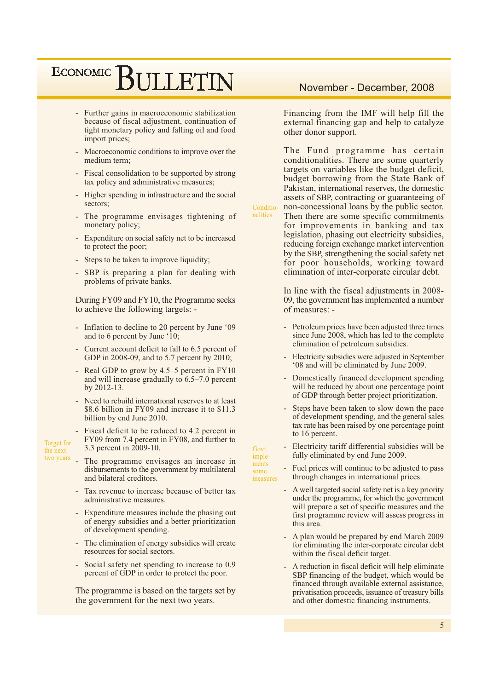- Further gains in macroeconomic stabilization because of fiscal adjustment, continuation of tight monetary policy and falling oil and food import prices;
- Macroeconomic conditions to improve over the medium term;
- Fiscal consolidation to be supported by strong tax policy and administrative measures;
- Higher spending in infrastructure and the social  $\mathbb{Z}^2$ sectors;
- The programme envisages tightening of monetary policy;
- Expenditure on social safety net to be increased to protect the poor;
- Steps to be taken to improve liquidity;
- SBP is preparing a plan for dealing with problems of private banks.

During FY09 and FY10, the Programme seeks to achieve the following targets: -

- Inflation to decline to 20 percent by June '09 and to 6 percent by June '10;
- Current account deficit to fall to 6.5 percent of GDP in 2008-09, and to 5.7 percent by 2010;
- Real GDP to grow by  $4.5-5$  percent in FY10 and will increase gradually to  $6.5-7.0$  percent by 2012-13.
- Need to rebuild international reserves to at least \$8.6 billion in FY09 and increase it to \$11.3 billion by end June 2010.
- Fiscal deficit to be reduced to 4.2 percent in FY09 from 7.4 percent in FY08, and further to 3.3 percent in 2009-10.

**Target** for

the next

- two years The programme envisages an increase in disbursements to the government by multilateral and bilateral creditors.
	- Tax revenue to increase because of better tax administrative measures
	- Expenditure measures include the phasing out of energy subsidies and a better prioritization of development spending.
	- The elimination of energy subsidies will create resources for social sectors.
	- Social safety net spending to increase to 0.9 percent of GDP in order to protect the poor.

The programme is based on the targets set by the government for the next two years.

#### November - December, 2008

Financing from the IMF will help fill the external financing gap and help to catalyze other donor support.

The Fund programme has certain conditionalities. There are some quarterly targets on variables like the budget deficit, budget borrowing from the State Bank of Pakistan, international reserves, the domestic assets of SBP, contracting or guaranteeing of non-concessional loans by the public sector. Then there are some specific commitments for improvements in banking and tax legislation, phasing out electricity subsidies, reducing foreign exchange market intervention by the SBP, strengthening the social safety net

Conditionalities

Govt.

imple-

ments

some

measures

for poor households, working toward elimination of inter-corporate circular debt.

In line with the fiscal adjustments in 2008-09, the government has implemented a number of measures: -

- Petroleum prices have been adjusted three times since June 2008, which has led to the complete elimination of petroleum subsidies.
- Electricity subsidies were adjusted in September '08 and will be eliminated by June 2009.
- Domestically financed development spending  $\omega$ will be reduced by about one percentage point of GDP through better project prioritization.
- Steps have been taken to slow down the pace of development spending, and the general sales tax rate has been raised by one percentage point to 16 percent.
- Electricity tariff differential subsidies will be  $\mathbf{u}$ fully eliminated by end June 2009.
- Fuel prices will continue to be adjusted to pass through changes in international prices.
- A well targeted social safety net is a key priority under the programme, for which the government will prepare a set of specific measures and the first programme review will assess progress in this area.
- A plan would be prepared by end March 2009 for eliminating the inter-corporate circular debt within the fiscal deficit target.
- A reduction in fiscal deficit will help eliminate SBP financing of the budget, which would be financed through available external assistance, privatisation proceeds, issuance of treasury bills and other domestic financing instruments.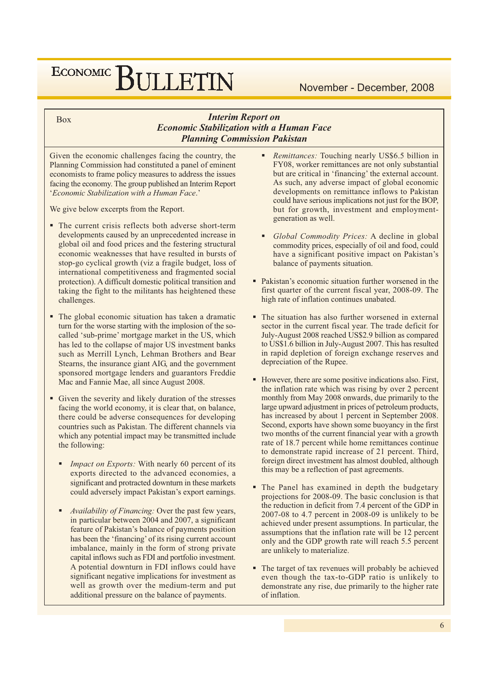#### November - December, 2008

#### **Interim Report on Economic Stabilization with a Human Face Planning Commission Pakistan**

Given the economic challenges facing the country, the Planning Commission had constituted a panel of eminent economists to frame policy measures to address the issues facing the economy. The group published an Interim Report 'Economic Stabilization with a Human Face.'

We give below excerpts from the Report.

**Box** 

- The current crisis reflects both adverse short-term developments caused by an unprecedented increase in global oil and food prices and the festering structural economic weaknesses that have resulted in bursts of stop-go cyclical growth (viz a fragile budget, loss of international competitiveness and fragmented social protection). A difficult domestic political transition and taking the fight to the militants has heightened these challenges.
- The global economic situation has taken a dramatic turn for the worse starting with the implosion of the socalled 'sub-prime' mortgage market in the US, which has led to the collapse of major US investment banks such as Merrill Lynch, Lehman Brothers and Bear Stearns, the insurance giant AIG, and the government sponsored mortgage lenders and guarantors Freddie Mac and Fannie Mae, all since August 2008.
- Given the severity and likely duration of the stresses facing the world economy, it is clear that, on balance, there could be adverse consequences for developing countries such as Pakistan. The different channels via which any potential impact may be transmitted include the following:
	- *Impact on Exports:* With nearly 60 percent of its exports directed to the advanced economies, a significant and protracted downturn in these markets could adversely impact Pakistan's export earnings.
	- Availability of Financing: Over the past few years, in particular between 2004 and 2007, a significant feature of Pakistan's balance of payments position has been the 'financing' of its rising current account imbalance, mainly in the form of strong private capital inflows such as FDI and portfolio investment. A potential downturn in FDI inflows could have significant negative implications for investment as well as growth over the medium-term and put additional pressure on the balance of payments.
- Remittances: Touching nearly US\$6.5 billion in FY08, worker remittances are not only substantial but are critical in 'financing' the external account. As such, any adverse impact of global economic developments on remittance inflows to Pakistan could have serious implications not just for the BOP, but for growth, investment and employmentgeneration as well.
- Global Commodity Prices: A decline in global commodity prices, especially of oil and food, could have a significant positive impact on Pakistan's balance of payments situation.
- Pakistan's economic situation further worsened in the first quarter of the current fiscal year, 2008-09. The high rate of inflation continues unabated.
- The situation has also further worsened in external sector in the current fiscal year. The trade deficit for July-August 2008 reached US\$2.9 billion as compared to US\$1.6 billion in July-August 2007. This has resulted in rapid depletion of foreign exchange reserves and depreciation of the Rupee.
- However, there are some positive indications also. First, the inflation rate which was rising by over 2 percent monthly from May 2008 onwards, due primarily to the large upward adjustment in prices of petroleum products, has increased by about 1 percent in September 2008. Second, exports have shown some buoyancy in the first two months of the current financial year with a growth rate of 18.7 percent while home remittances continue to demonstrate rapid increase of 21 percent. Third, foreign direct investment has almost doubled, although this may be a reflection of past agreements.
- The Panel has examined in depth the budgetary projections for 2008-09. The basic conclusion is that the reduction in deficit from 7.4 percent of the GDP in  $2007-08$  to 4.7 percent in 2008-09 is unlikely to be achieved under present assumptions. In particular, the assumptions that the inflation rate will be 12 percent only and the GDP growth rate will reach 5.5 percent are unlikely to materialize.
- The target of tax revenues will probably be achieved even though the tax-to-GDP ratio is unlikely to demonstrate any rise, due primarily to the higher rate of inflation.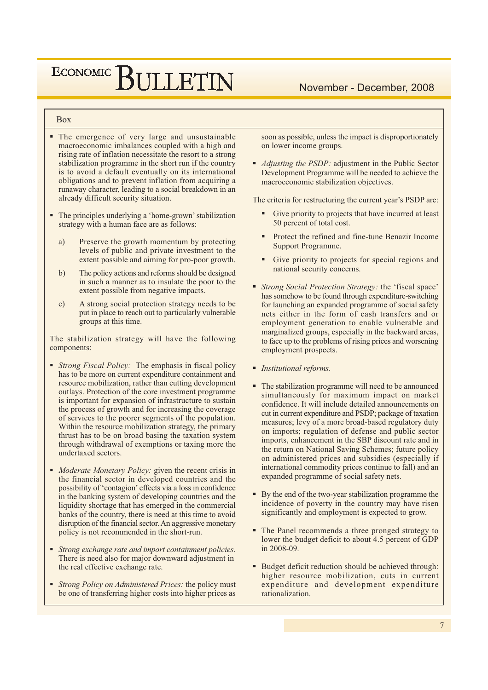## ECONOMIC BIJLETIN

#### November - December, 2008

#### **Box**

- The emergence of very large and unsustainable macroeconomic imbalances coupled with a high and rising rate of inflation necessitate the resort to a strong stabilization programme in the short run if the country is to avoid a default eventually on its international obligations and to prevent inflation from acquiring a runaway character, leading to a social breakdown in an already difficult security situation.
- The principles underlying a 'home-grown' stabilization strategy with a human face are as follows:
	- a) Preserve the growth momentum by protecting levels of public and private investment to the extent possible and aiming for pro-poor growth.
	- $b)$ The policy actions and reforms should be designed in such a manner as to insulate the poor to the extent possible from negative impacts.
	- A strong social protection strategy needs to be  $\mathbf{c}$ ) put in place to reach out to particularly vulnerable groups at this time.

The stabilization strategy will have the following components:

- *Strong Fiscal Policy:* The emphasis in fiscal policy has to be more on current expenditure containment and resource mobilization, rather than cutting development outlays. Protection of the core investment programme is important for expansion of infrastructure to sustain the process of growth and for increasing the coverage of services to the poorer segments of the population. Within the resource mobilization strategy, the primary thrust has to be on broad basing the taxation system through withdrawal of exemptions or taxing more the undertaxed sectors.
- Moderate Monetary Policy: given the recent crisis in the financial sector in developed countries and the possibility of 'contagion' effects via a loss in confidence in the banking system of developing countries and the liquidity shortage that has emerged in the commercial banks of the country, there is need at this time to avoid disruption of the financial sector. An aggressive monetary policy is not recommended in the short-run.
- Strong exchange rate and import containment policies. There is need also for major downward adjustment in the real effective exchange rate.
- Strong Policy on Administered Prices: the policy must be one of transferring higher costs into higher prices as

soon as possible, unless the impact is disproportionately on lower income groups.

• *Adjusting the PSDP*: adjustment in the Public Sector Development Programme will be needed to achieve the macroeconomic stabilization objectives.

The criteria for restructuring the current year's PSDP are:

- Give priority to projects that have incurred at least 50 percent of total cost.
- Protect the refined and fine-tune Benazir Income Support Programme.
- Give priority to projects for special regions and national security concerns.
- Strong Social Protection Strategy: the 'fiscal space' has somehow to be found through expenditure-switching for launching an expanded programme of social safety nets either in the form of cash transfers and or employment generation to enable vulnerable and marginalized groups, especially in the backward areas, to face up to the problems of rising prices and worsening employment prospects.
- Institutional reforms.
- The stabilization programme will need to be announced simultaneously for maximum impact on market confidence. It will include detailed announcements on cut in current expenditure and PSDP; package of taxation measures; levy of a more broad-based regulatory duty on imports; regulation of defense and public sector imports, enhancement in the SBP discount rate and in the return on National Saving Schemes; future policy on administered prices and subsidies (especially if international commodity prices continue to fall) and an expanded programme of social safety nets.
- By the end of the two-year stabilization programme the incidence of poverty in the country may have risen significantly and employment is expected to grow.
- The Panel recommends a three pronged strategy to lower the budget deficit to about 4.5 percent of GDP in 2008-09.
- Budget deficit reduction should be achieved through: higher resource mobilization, cuts in current expenditure and development expenditure rationalization.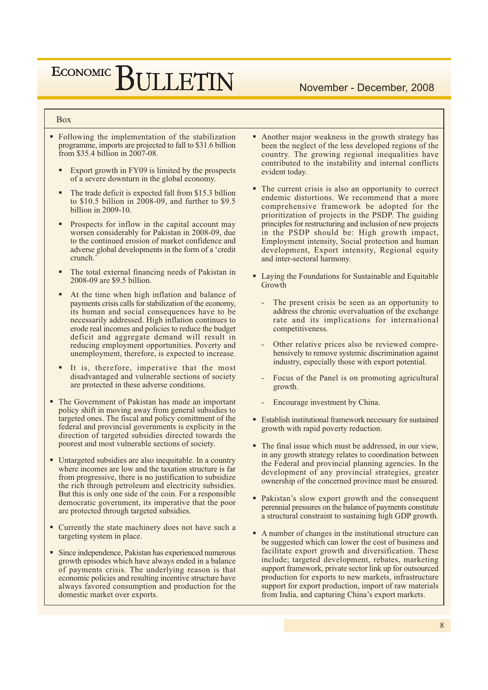## ECONOMIC BIJLETIN

#### **Box**

- Following the implementation of the stabilization programme, imports are projected to fall to \$31.6 billion from \$35.4 billion in 2007-08.
	- Export growth in FY09 is limited by the prospects of a severe downturn in the global economy.
	- The trade deficit is expected fall from \$15.3 billion to \$10.5 billion in  $2008-09$ , and further to \$9.5 billion in 2009-10.
	- Prospects for inflow in the capital account may worsen considerably for Pakistan in 2008-09, due to the continued erosion of market confidence and adverse global developments in the form of a 'credit crunch.
	- The total external financing needs of Pakistan in 2008-09 are \$9.5 billion.
	- At the time when high inflation and balance of payments crisis calls for stabilization of the economy, its human and social consequences have to be necessarily addressed. High inflation continues to erode real incomes and policies to reduce the budget deficit and aggregate demand will result in reducing employment opportunities. Poverty and unemployment, therefore, is expected to increase.
	- It is, therefore, imperative that the most disadvantaged and vulnerable sections of society are protected in these adverse conditions.
- The Government of Pakistan has made an important policy shift in moving away from general subsidies to targeted ones. The fiscal and policy comittment of the federal and provincial governments is explicity in the direction of targeted subsidies directed towards the poorest and most vulnerable sections of society.
- Untargeted subsidies are also inequitable. In a country where incomes are low and the taxation structure is far from progressive, there is no justification to subsidize the rich through petroleum and electricity subsidies. But this is only one side of the coin. For a responsible democratic government, its imperative that the poor are protected through targeted subsidies.
- Currently the state machinery does not have such a targeting system in place.
- Since independence, Pakistan has experienced numerous growth episodes which have always ended in a balance of payments crisis. The underlying reason is that economic policies and resulting incentive structure have always favored consumption and production for the domestic market over exports.
- Another major weakness in the growth strategy has been the neglect of the less developed regions of the country. The growing regional inequalities have contributed to the instability and internal conflicts evident today.
- The current crisis is also an opportunity to correct endemic distortions. We recommend that a more comprehensive framework be adopted for the prioritization of projects in the PSDP. The guiding principles for restructuring and inclusion of new projects in the PSDP should be: High growth impact, Employment intensity, Social protection and human development, Export intensity, Regional equity and inter-sectoral harmony.
- Laying the Foundations for Sustainable and Equitable Growth
	- The present crisis be seen as an opportunity to address the chronic overvaluation of the exchange rate and its implications for international competitiveness.
	- Other relative prices also be reviewed comprehensively to remove systemic discrimination against industry, especially those with export potential.
	- Focus of the Panel is on promoting agricultural growth.
	- Encourage investment by China.
- Establish institutional framework necessary for sustained growth with rapid poverty reduction.
- The final issue which must be addressed, in our view. in any growth strategy relates to coordination between the Federal and provincial planning agencies. In the development of any provincial strategies, greater ownership of the concerned province must be ensured.
- Pakistan's slow export growth and the consequent perennial pressures on the balance of payments constitute a structural constraint to sustaining high GDP growth.
- A number of changes in the institutional structure can be suggested which can lower the cost of business and facilitate export growth and diversification. These include; targeted development, rebates, marketing support framework, private sector link up for outsourced production for exports to new markets, infrastructure support for export production, import of raw materials from India, and capturing China's export markets.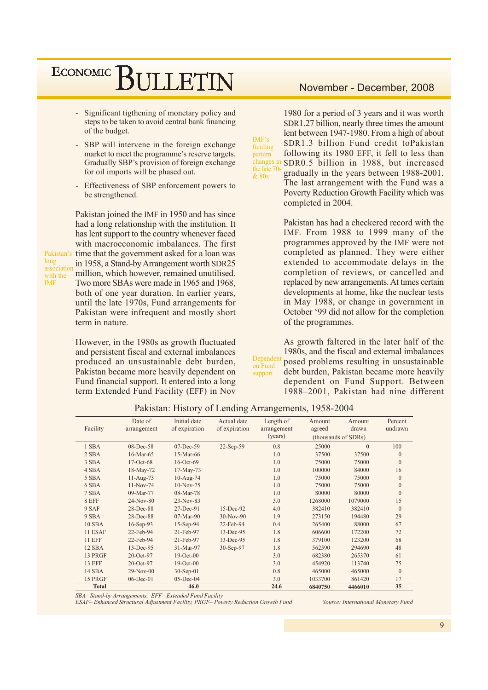- Significant tigthening of monetary policy and steps to be taken to avoid central bank financing of the budget.
- SBP will intervene in the foreign exchange market to meet the programme's reserve targets. Gradually SBP's provision of foreign exchange for oil imports will be phased out.
- Effectiveness of SBP enforcement powers to be strengthened.

Pakistan joined the IMF in 1950 and has since had a long relationship with the institution. It has lent support to the country whenever faced with macroeconomic imbalances. The first Pakistan's time that the government asked for a loan was in 1958, a Stand-by Arrangement worth SDR25 association million, which however, remained unutilised. Two more SBAs were made in 1965 and 1968, both of one year duration. In earlier years, until the late 1970s, Fund arrangements for Pakistan were infrequent and mostly short term in nature.

long

**IMF** 

with the

However, in the 1980s as growth fluctuated and persistent fiscal and external imbalances produced an unsustainable debt burden, Pakistan became more heavily dependent on Fund financial support. It entered into a long term Extended Fund Facility (EFF) in Nov

#### November - December, 2008

1980 for a period of 3 years and it was worth SDR1.27 billion, nearly three times the amount lent between 1947-1980. From a high of about SDR1.3 billion Fund credit toPakistan following its 1980 EFF, it fell to less than SDR0.5 billion in 1988, but increased the late 70 gradually in the years between 1988-2001. The last arrangement with the Fund was a Poverty Reduction Growth Facility which was

completed in 2004.

Pakistan has had a checkered record with the IMF. From 1988 to 1999 many of the programmes approved by the IMF were not completed as planned. They were either extended to accommodate delays in the completion of reviews, or cancelled and replaced by new arrangements. At times certain developments at home, like the nuclear tests in May 1988, or change in government in October '99 did not allow for the completion of the programmes.

As growth faltered in the later half of the 1980s, and the fiscal and external imbalances Dependen posed problems resulting in unsustainable on Fund debt burden, Pakistan became more heavily support dependent on Fund Support. Between 1988-2001, Pakistan had nine different

Date of Initial date Actual date Length of Amount Amount Percent Facility of expiration arrangement of expiration arrangement agreed drawn undrawn (years) (thousands of SDRs) 1 SBA 08-Dec-58 07-Dec-59 22-Sep-59  $0.8$ 25000  $\Omega$  $100$ 37500 37500  $2$  SBA 16-Mar-65 15-Mar-66  $1.0$  $\theta$ 3 SBA 17-Oct-68  $16$ -Oct-69  $1.0$ 75000 75000  $\overline{0}$ 4 SBA 18-May-72  $17-Mav-73$  $1.0$ 100000 84000 16 5 SBA 11-Aug-73 10-Aug-74  $1.0$ 75000 75000  $\theta$ 6 SBA 11-Nov-74 10-Nov-75  $1.0$ 75000 75000  $\overline{0}$ **7 SBA** 09-Mar-77 08-Mar-78  $1<sub>0</sub>$ 80000 80000  $\Omega$  $23-Nov-83$ 1268000 1079000 8 EFF  $24-Nov-80$  $3.0$ 15  $27 - Dec-91$  $15$ -Dec-92  $9$  SAF  $28$ -Dec- $88$  $40$ 382410 382410  $\Omega$ 9 SBA 28-Dec-88 07-Mar-90  $30-Nov-90$  $19$ 273150 194480  $29$ **10 SBA** 16-Sep-93 15-Sep-94 22-Feb-94  $0.4$ 265400 88000 67  $13-Dec-95$ 11 ESAF 22-Feb-94 21-Feb-97 172200  $72$  $18$ 606600 **11 EFF** 22-Feb-94 21-Feb-97 13-Dec-95  $18$ 379100 123200 68 12 SBA 13-Dec-95 31-Mar-97 30-Sep-97 1.8 562590 294690 48 13 PRGF  $20 - Oct-97$  $19-Ort-00$  $30$ 682380 265370 61 **13 EFF** 20-Oct-97  $19-Oct-00$  $3.0$ 113740 75 454920 **14 SBA**  $29-Nov-00$  $30-Sep-01$  $0.8$ 465000  $\theta$ 465000 15 PRGF 06-Dec-01 05-Dec-04  $3.0$ 1033700 861420 17 Total  $46.0$  $\overline{24.6}$ 6840750 4466010  $\overline{35}$ 

Pakistan: History of Lending Arrangements, 1958-2004

 $IMF's$ 

funding

pattern

changes

& 80s

SBA-Stand-by Arrangements, EFF-Extended Fund Facility

ESAF-Enhanced Structural Adjustment Facility, PRGF-Poverty Reduction Growth Fund

Source: International Monetary Fund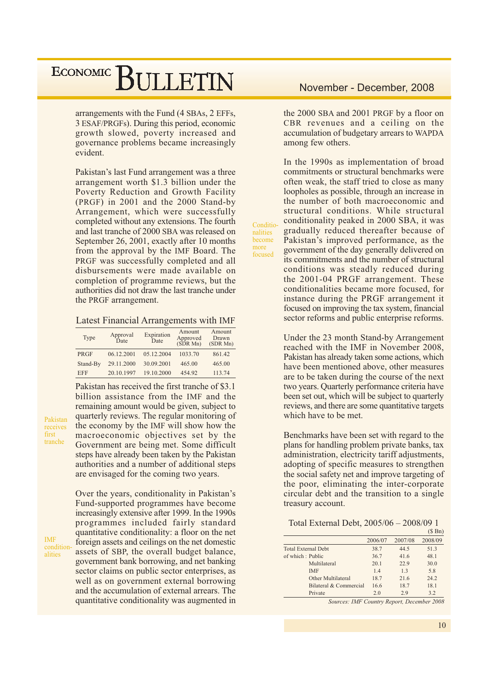arrangements with the Fund (4 SBAs, 2 EFFs, 3 ESAF/PRGFs). During this period, economic growth slowed, poverty increased and governance problems became increasingly evident.

Pakistan's last Fund arrangement was a three arrangement worth \$1.3 billion under the Poverty Reduction and Growth Facility (PRGF) in 2001 and the 2000 Stand-by Arrangement, which were successfully completed without any extensions. The fourth and last tranche of 2000 SBA was released on September 26, 2001, exactly after 10 months from the approval by the IMF Board. The PRGF was successfully completed and all disbursements were made available on completion of programme reviews, but the authorities did not draw the last tranche under the PRGF arrangement.

Latest Financial Arrangements with IMF

| Type        | Approval<br>Date | Expiration<br>Date | Amount<br>Approved<br>(SDRMn) | Amount<br>Drawn<br>(SDR Mn) |  |  |
|-------------|------------------|--------------------|-------------------------------|-----------------------------|--|--|
| <b>PRGF</b> | 06.12.2001       | 05.12.2004         | 1033.70                       | 861.42                      |  |  |
| Stand-By    | 29.11.2000       | 30.09.2001         | 465.00                        | 465.00                      |  |  |
| <b>EFF</b>  | 20.10.1997       | 19.10.2000         | 454.92                        | 113.74                      |  |  |

Pakistan has received the first tranche of \$3.1

billion assistance from the IMF and the

remaining amount would be given, subject to quarterly reviews. The regular monitoring of

the economy by the IMF will show how the

Pakistan receives first tranche

macroeconomic objectives set by the Government are being met. Some difficult steps have already been taken by the Pakistan authorities and a number of additional steps are envisaged for the coming two years. Over the years, conditionality in Pakistan's Fund-supported programmes have become increasingly extensive after 1999. In the 1990s programmes included fairly standard quantitative conditionality: a floor on the net

foreign assets and ceilings on the net domestic

assets of SBP, the overall budget balance,

government bank borrowing, and net banking sector claims on public sector enterprises, as well as on government external borrowing and the accumulation of external arrears. The quantitative conditionality was augmented in the 2000 SBA and 2001 PRGF by a floor on CBR revenues and a ceiling on the accumulation of budgetary arrears to WAPDA among few others.

In the 1990s as implementation of broad commitments or structural benchmarks were often weak, the staff tried to close as many loopholes as possible, through an increase in the number of both macroeconomic and structural conditions. While structural conditionality peaked in 2000 SBA, it was gradually reduced thereafter because of Pakistan's improved performance, as the government of the day generally delivered on its commitments and the number of structural conditions was steadly reduced during the 2001-04 PRGF arrangement. These conditionalities became more focused, for instance during the PRGF arrangement it focused on improving the tax system, financial sector reforms and public enterprise reforms.

Conditio-

nalities hecome

more

focused

Under the 23 month Stand-by Arrangement reached with the IMF in November 2008, Pakistan has already taken some actions, which have been mentioned above, other measures are to be taken during the course of the next two years. Quarterly performance criteria have been set out, which will be subject to quarterly reviews, and there are some quantitative targets which have to be met.

Benchmarks have been set with regard to the plans for handling problem private banks, tax administration, electricity tariff adjustments, adopting of specific measures to strengthen the social safety net and improve targeting of the poor, eliminating the inter-corporate circular debt and the transition to a single treasury account.

Total External Debt, 2005/06 - 2008/09 1  $(0, 0)$ 

|                            |                                                   |            | $\phi$ DII             |
|----------------------------|---------------------------------------------------|------------|------------------------|
|                            | 2006/07                                           | 2007/08    | 2008/09                |
| <b>Total External Debt</b> | 38.7                                              | 44.5       | 51.3                   |
| of which: Public           | 36.7                                              | 41.6       | 48.1                   |
| Multilateral               | 20.1                                              | 22.9       | 30.0                   |
| <b>IMF</b>                 | 1.4                                               | 1.3        | 5.8                    |
| Other Multilateral         | 18.7                                              | 21.6       | 24.2                   |
| Bilateral & Commercial     | 16.6                                              | 18.7       | 18.1                   |
| Private                    | 2.0                                               | 2.9        | 3.2                    |
| $\sim$<br>T1ITA            | $\mathbf{r}$<br><b>Contract Contract Contract</b> | $\sqrt{2}$ | $\mathbf{r}$<br>$2000$ |

Sources: IMF Country Report, December 2008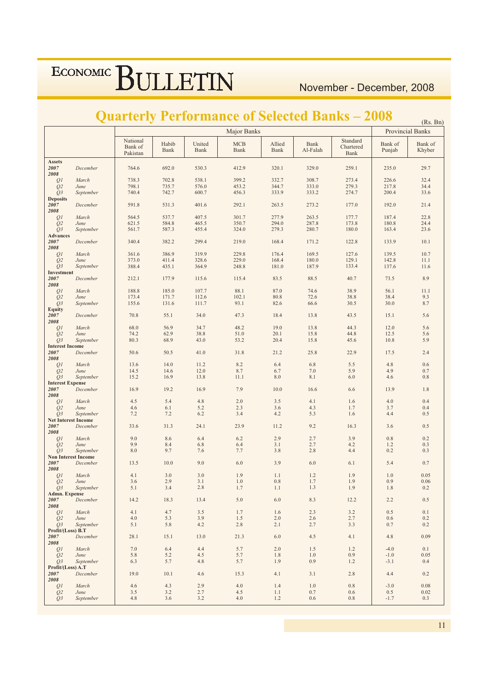#### November - December, 2008

## **Quarterly Performance of Selected Banks – 2008 (Rs. Bn)**

|                                                 |                   |                                 |                      |                | <b>Major Banks</b> |                |                  |                               |                   | (N <sub>5</sub> , DI)<br><b>Provincial Banks</b> |
|-------------------------------------------------|-------------------|---------------------------------|----------------------|----------------|--------------------|----------------|------------------|-------------------------------|-------------------|--------------------------------------------------|
|                                                 |                   | National<br>Bank of<br>Pakistan | Habib<br><b>Bank</b> | United<br>Bank | <b>MCB</b><br>Bank | Allied<br>Bank | Bank<br>Al-Falah | Standard<br>Chartered<br>Bank | Bank of<br>Punjab | Bank of<br>Khyber                                |
| <b>Assets</b><br>2007<br>${\bf 2008}$           | December          | 764.6                           | 692.0                | 530.3          | 412.9              | 320.1          | 329.0            | 259.1                         | 235.0             | 29.7                                             |
| Q1                                              | March             | 738.3                           | 702.8                | 538.1          | 399.2              | 332.7          | 308.7            | 273.4                         | 226.6             | 32.4                                             |
| Q <sub>2</sub>                                  | June              | 798.1                           | 735.7                | 576.0          | 453.2              | 344.7          | 333.0            | 279.3                         | 217.8             | 34.4                                             |
| Q3                                              | September         | 740.4                           | 742.7                | 600.7          | 456.3              | 333.9          | 333.2            | 274.7                         | 200.4             | 33.6                                             |
| <b>Deposits</b><br>2007<br>2008                 | December          | 591.8                           | 531.3                | 401.6          | 292.1              | 263.5          | 273.2            | 177.0                         | 192.0             | 21.4                                             |
| QI                                              | March             | 564.5                           | 537.7                | 407.5          | 301.7              | 277.9          | 263.5            | 177.7                         | 187.4             | 22.8                                             |
| $\overline{Q}2$                                 | June              | 621.5                           | 584.8                | 465.5          | 350.7              | 294.0          | 287.8            | 173.8                         | 180.8             | 24.4                                             |
| Q3                                              | September         | 561.7                           | 587.3                | 455.4          | 324.0              | 279.3          | 280.7            | 180.0                         | 163.4             | 23.6                                             |
| <b>Advances</b><br>${\bf 2007}$<br>${\bf 2008}$ | December          | 340.4                           | 382.2                | 299.4          | 219.0              | 168.4          | 171.2            | 122.8                         | 133.9             | 10.1                                             |
| Q1                                              | March             | 361.6                           | 386.9                | 319.9          | 229.8              | 176.4          | 169.5            | 127.6                         | 139.5             | 10.7                                             |
| Q2                                              | June              | 373.0                           | 411.4                | 328.6          | 229.0              | 168.4          | 180.0            | 129.1                         | 142.8             | 11.1                                             |
| Q <sub>3</sub>                                  | September         | 388.4                           | 435.1                | 364.9          | 248.8              | 181.0          | 187.9            | 133.4                         | 137.6             | 11.6                                             |
| Investment<br>2007<br>2008                      | December          | 212.1                           | 177.9                | 115.6          | 115.4              | 83.5           | 88.5             | 40.7                          | 73.5              | 8.9                                              |
| QI                                              | March             | 188.8                           | 185.0                | 107.7          | 88.1               | 87.0           | 74.6             | 38.9                          | 56.1              | 11.1                                             |
| $\tilde{Q}$                                     | June              | 173.4                           | 171.7                | 112.6          | 102.1              | 80.8           | 72.6             | 38.8                          | 38.4              | 9.3                                              |
| Q3                                              | September         | 155.6                           | 131.6                | 111.7          | 93.1               | 82.6           | 66.6             | 30.5                          | 30.0              | 8.7                                              |
| <b>Equity</b><br>2007<br>2008                   | December          | 70.8                            | 55.1                 | 34.0           | 47.3               | 18.4           | 13.8             | 43.5                          | 15.1              | 5.6                                              |
| Q1                                              | March             | 68.0                            | 56.9                 | 34.7           | 48.2               | 19.0           | 13.8             | 44.3                          | 12.0              | 5.6                                              |
| Q2                                              | June              | 74.2                            | 62.9                 | 38.8           | 51.0               | 20.1           | 15.8             | 44.8                          | 12.5              | 5.6                                              |
| Q <sub>3</sub>                                  | September         | 80.3                            | 68.9                 | 43.0           | 53.2               | 20.4           | 15.8             | 45.6                          | 10.8              | 5.9                                              |
| <b>Interest Income</b><br>2007<br>2008          | December          | 50.6                            | 50.5                 | 41.0           | 31.8               | 21.2           | 25.8             | 22.9                          | 17.5              | 2.4                                              |
| QI                                              | March             | 13.6                            | 14.0                 | 11.2           | 8.2                | 6.4            | 6.8              | 5.5                           | 4.8               | $0.6\,$                                          |
| $\overline{Q}2$                                 | June              | 14.5                            | 14.6                 | 12.0           | 8.7                | 6.7            | $7.0\,$          | 5.9                           | 4.9               | 0.7                                              |
| Q <sub>3</sub>                                  | September         | 15.2                            | 16.9                 | 13.8           | 11.1               | 8.0            | 8.1              | 6.0                           | 4.6               | $0.8\,$                                          |
| <b>Interest Expense</b><br>2007<br>2008         | December          | 16.9                            | 19.2                 | 16.9           | 7.9                | 10.0           | 16.6             | 6.6                           | 13.9              | $1.8\,$                                          |
| Q <sub>1</sub>                                  | March             | 4.5                             | 5.4                  | 4.8            | 2.0                | 3.5            | 4.1              | 1.6                           | 4.0               | 0.4                                              |
| Q2                                              | June              | 4.6                             | $6.1\,$              | 5.2            | 2.3                | 3.6            | 4.3              | 1.7                           | 3.7               | 0.4                                              |
| Q3                                              | September         | 7.2                             | 7.2                  | 6.2            | 3.4                | 4.2            | 5.3              | 1.6                           | 4.4               | 0.5                                              |
| <b>Net Interest Income</b><br>2007<br>2008      | December          | 33.6                            | 31.3                 | 24.1           | 23.9               | 11.2           | 9.2              | 16.3                          | 3.6               | $0.5\,$                                          |
| QI                                              | March             | 9.0                             | 8.6                  | 6.4            | 6.2                | 2.9            | 2.7              | 3.9                           | 0.8               | $0.2\,$                                          |
| Q2                                              | June              | 9.9                             | 8.4                  | 6.8            | 6.4                | 3.1            | 2.7              | 4.2                           | 1.2               | 0.3                                              |
| Q <sub>3</sub>                                  | September         | $8.0\,$                         | 9.7                  | 7.6            | 7.7                | 3.8            | 2.8              | 4.4                           | 0.2               | 0.3                                              |
| <b>Non Interest Income</b><br>2007<br>2008      | December          | 13.5                            | 10.0                 | 9.0            | 6.0                | 3.9            | $6.0\,$          | 6.1                           | 5.4               | $0.7\,$                                          |
| Q <sub>1</sub>                                  | March             | 4.1                             | 3.0                  | 3.0            | 1.9                | 1.1            | 1.2              | 1.9                           | 1.0               | 0.05                                             |
| Q <sub>2</sub>                                  | June              | 3.6                             | 2.9                  | 3.1            | 1.0                | $0.8\,$        | 1.7              | 1.9                           | 0.9               | 0.06                                             |
| O <sub>3</sub>                                  | September         | 5.1                             | 3.4                  | 2.8            | 1.7                | 1.1            | 1.3              | 1.9                           | 1.8               | 0.2                                              |
| <b>Admn. Expense</b><br>2007<br>2008            | December          | 14.2                            | 18.3                 | 13.4           | 5.0                | 6.0            | 8.3              | 12.2                          | 2.2               | 0.5                                              |
| QI                                              | March             | 4.1                             | 4.7                  | 3.5            | 1.7                | 1.6            | 2.3              | 3.2                           | 0.5               | 0.1                                              |
| Q <sub>2</sub>                                  | June              | 4.0                             | 5.3                  | 3.9            | 1.5                | 2.0            | 2.6              | 2.7                           | 0.6               | 0.2                                              |
| O <sub>3</sub>                                  | September         | 5.1                             | 5.8                  | 4.2            | 2.8                | 2.1            | 2.7              | 3.3                           | 0.7               | 0.2                                              |
| Profit/(Loss) B.T<br>2007<br>2008               | December          | 28.1                            | 15.1                 | 13.0           | 21.3               | 6.0            | 4.5              | 4.1                           | 4.8               | 0.09                                             |
| Q <sub>1</sub>                                  | March             | 7.0                             | 6.4                  | 4.4            | 5.7                | 2.0            | 1.5              | 1.2                           | $-4.0$            | 0.1                                              |
| Q <sub>2</sub>                                  | June              | 5.8                             | 5.2                  | 4.5            | 5.7                | 1.8            | 1.0              | 0.9                           | $-1.0$            | 0.05                                             |
| O <sub>3</sub>                                  | September         | 6.3                             | 5.7                  | 4.8            | 5.7                | 1.9            | 0.9              | 1.2                           | $-3.1$            | 0.4                                              |
| Profit/(Loss) A.T<br>2007<br>2008               | December          | 19.0                            | 10.1                 | 4.6            | 15.3               | 4.1            | 3.1              | 2.8                           | 4.4               | 0.2                                              |
| Q1                                              | March             | 4.6                             | 4.3                  | 2.9            | 4.0                | 1.4            | 1.0              | 0.8                           | $-3.0$            | $0.08\,$                                         |
| Q <sub>2</sub><br>$Q_3$                         | June<br>September | 3.5<br>4.8                      | 3.2<br>3.6           | 2.7<br>3.2     | 4.5<br>4.0         | 1.1<br>1.2     | 0.7<br>0.6       | 0.6<br>0.8                    | 0.5<br>$-1.7$     | 0.02<br>0.3                                      |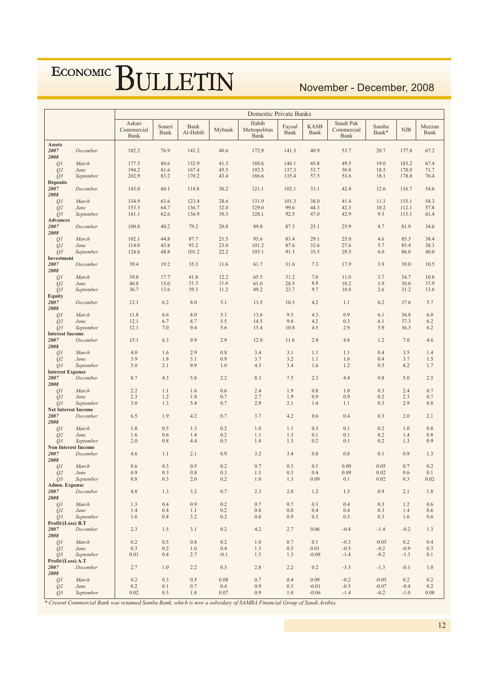### November - December, 2008

|                                         |                   | Domestic Private Banks       |                |                  |              |                               |                |                     |                                 |                   |                  |                |
|-----------------------------------------|-------------------|------------------------------|----------------|------------------|--------------|-------------------------------|----------------|---------------------|---------------------------------|-------------------|------------------|----------------|
|                                         |                   | Askari<br>Commercial<br>Bank | Soneri<br>Bank | Bank<br>Al-Habib | Mybank       | Habib<br>Metropolitan<br>Bank | Faysal<br>Bank | <b>KASB</b><br>Bank | Saudi Pak<br>Commercial<br>Bank | Samba<br>Bank*    | <b>NIB</b>       | Meezan<br>Bank |
| <b>Assets</b>                           |                   |                              |                |                  |              |                               |                |                     |                                 |                   |                  |                |
| 2007<br>2008                            | December          | 182.2                        | 76.9           | 141.2            | 40.6         | 172.9                         | 141.3          | 40.9                | 53.7                            | 20.7              | 177.8            | 67.2           |
| Q <sub>1</sub>                          | March             | 177.5                        | 80.6           | 152.9            | 41.3         | 188.6                         | 146.1          | 45.8                | 49.5                            | 19.0              | 183.2            | 67.4           |
| Q <sub>2</sub>                          | June              | 194.2                        | 81.6           | 167.4            | 45.5         | 192.5                         | 137.3          | 53.7                | 50.8                            | 18.5              | 178.0            | 71.7           |
| Q <sub>3</sub>                          | September         | 202.9                        | 83.2           | 170.2            | 43.4         | 186.6                         | 135.4          | 57.5                | 53.6                            | 18.1              | 178.8            | 76.4           |
| <b>Deposits</b><br>2007                 | December          | 143.0                        | 60.1           | 114.8            | 30.2         | 121.1                         | 102.1          | 33.1                | 42.4                            | 12.6              | 116.7            | 54.6           |
| 2008                                    |                   |                              |                |                  |              |                               |                |                     |                                 |                   |                  |                |
| Q <sub>1</sub>                          | March             | 134.9                        | 63.6           | 123.4            | 28.6         | 131.9                         | 101.3          | 38.0                | 41.4                            | 11.3              | 115.1            | 54.3           |
| Q <sub>2</sub>                          | June              | 153.3                        | 64.7           | 136.7            | 32.0         | 129.0                         | 99.6           | 44.3                | 42.3                            | 10.2              | 112.1            | 57.8           |
| Q <sub>3</sub>                          | September         | 161.1                        | 62.6           | 136.9            | 30.3         | 128.1                         | 92.5           | 47.0                | 42.9                            | 9.3               | 113.1            | 61.4           |
| <b>Advances</b>                         |                   |                              |                |                  |              |                               |                |                     |                                 |                   |                  |                |
| 2007<br>2008                            | December          | 100.8                        | 40.2           | 79.2             | 20.8         | 89.8                          | 87.3           | 25.1                | 25.9                            | 4.7               | 81.9             | 34.6           |
| Q <sub>1</sub><br>Q <sub>2</sub>        | March<br>June     | 102.1<br>114.0               | 44.8<br>45.8   | 87.7<br>93.2     | 21.5<br>23.0 | 95.6<br>101.2                 | 83.4<br>87.6   | 29.1<br>32.6        | 25.0<br>27.6                    | 4.6<br>5.7        | 85.3<br>85.4     | 38.4<br>38.3   |
| Q <sub>3</sub>                          | September         | 124.6                        | 48.8           | 101.2            | 22.2         | 105.1                         | 91.3           | 35.5                | 29.5                            | 6.0               | 86.0             | 40.0           |
| Investment                              |                   |                              |                |                  |              |                               |                |                     |                                 |                   |                  |                |
| 2007<br>2008                            | December          | 39.4                         | 19.2           | 35.3             | 11.6         | 61.7                          | 31.6           | 7.3                 | 17.9                            | 3.9               | 39.0             | 10.5           |
| Q <sub>1</sub>                          | March             | 39.8                         | 17.7           | 41.8             | 12.2         | 65.5                          | 31.2           | 7.0                 | 11.0                            | 3.7               | 34.7             | 10.8           |
| Q <sub>2</sub>                          | June              | 40.8                         | 15.0           | 31.3             | 11.6         | 61.0                          | 28.5           | 8.8                 | 10.2                            | 3.9               | 30.0             | 11.0           |
| O <sub>3</sub><br><b>Equity</b>         | September         | 36.7                         | 13.6           | 39.3             | 11.2         | 49.2                          | 23.7           | 9.7                 | 10.8                            | 2.6               | 31.2             | 13.6           |
| 2007                                    | December          | 12.1                         | 6.2            | 8.0              | 5.1          | 13.5                          | 10.3           | 4.2                 | 1.1                             | 6.2               | 37.6             | 5.7            |
| 2008                                    |                   |                              |                |                  |              |                               |                |                     |                                 |                   |                  |                |
| Q <sub>I</sub>                          | March             | 11.8                         | 6.6            | 8.0              | 5.1          | 13.6                          | 9.5            | 4.3                 | 0.9                             | 6.1               | 36.8             | 6.0            |
| Q <sub>2</sub>                          | June              | 12.1                         | 6.7            | 8.7              | 5.5          | 14.5                          | 9.8            | 4.2                 | 0.3                             | 6.1               | 37.3             | 6.2            |
| Q <sub>3</sub>                          | September         | 12.1                         | 7.0            | 9.4              | 5.6          | 15.4                          | 10.8           | 4.5                 | 2.9                             | 5.9               | 36.3             | 6.2            |
| <b>Interest Income</b><br>2007          | December          | 15.1                         | 6.3            | 9.9              | 2.9          | 12.0                          | 11.6           | 2.9                 | 4.8                             | 1.2               | 7.0              | 4.6            |
| 2008                                    |                   |                              |                |                  |              |                               |                |                     |                                 |                   |                  |                |
| Q <sub>1</sub>                          | March             | 4.0                          | 1.6            | 2.9              | 0.8          | 3.4                           | 3.1            | 1.1                 | 1.1                             | 0.4               | 3.5              | 1.4            |
| O <sub>2</sub>                          | June              | 3.9                          | 1.8            | 3.1              | 0.9          | 3.7                           | 3.2            | 1.1                 | 1.0                             | 0.4               | 3.7              | 1.5            |
| Q <sub>3</sub>                          | September         | 5.0                          | 2.1            | 9.9              | 1.0          | 4.3                           | 3.4            | 1.6                 | 1.2                             | 0.5               | 4.2              | 1.7            |
| <b>Interest Expense</b><br>2007<br>2008 | December          | 8.7                          | 4.3            | 5.8              | 2.2          | 8.3                           | 7.5            | 2.3                 | 4.4                             | 0.8               | 5.0              | 2.5            |
| Q <sub>1</sub>                          | March             | 2.2                          | 1.1            | 1.6              | 0.6          | 2.4                           | 1.9            | 0.8                 | 1.0                             | 0.3               | 2.4              | 0.7            |
| Q <sub>2</sub>                          | June              | 2.3                          | 1.2            | 1.8              | 0.7          | 2.7                           | 1.9            | 0.9                 | 0.9                             | 0.2               | 2.3              | 0.7            |
| O <sub>3</sub>                          | September         | 3.0                          | 1.3            | 5.4              | 0.7          | 2.9                           | 2.1            | 1.4                 | 1.1                             | 0.3               | 2.9              | 0.8            |
| <b>Net Interest Income</b>              |                   |                              |                |                  |              |                               |                |                     |                                 |                   |                  |                |
| 2007<br>2008                            | December          | 6.5                          | 1.9            | 4.2              | 0.7          | 3.7                           | 4.2            | 0.6                 | 0.4                             | 0.3               | 2.0              | 2.1            |
| Q <sub>1</sub><br>Q <sub>2</sub>        | March<br>June     | 1.8<br>1.6                   | 0.5<br>0.6     | 1.3<br>1.4       | 0.2<br>0.2   | 1.0<br>1.1                    | 1.1<br>1.3     | 0.3<br>0.1          | 0.1<br>0.1                      | 0.2<br>0.2        | 1.0<br>1.4       | 0.8<br>0.8     |
| O <sub>3</sub>                          | September         | 2.0                          | 0.8            | 4.4              | 0.3          | 1.4                           | 1.3            | 0.2                 | 0.1                             | 0.2               | 1.3              | 0.9            |
| <b>Non Interest Income</b>              |                   |                              |                |                  |              |                               |                |                     |                                 |                   |                  |                |
| 2007<br>2008                            | December          | 4.6                          | 1.1            | 2.1              | 0.9          | 3.2                           | 3.4            | 0.8                 | 0.8                             | 0.1               | 0.9              | 1.3            |
| Q <sub>1</sub>                          | March             | 0.6                          | 0.3            | 0.5              | 0.2          | 0.7                           | 0.3            | 0.1                 | 0.09                            | 0.05              | 0.7              | 0.2            |
| O <sub>2</sub>                          | June              | 0.9                          | 0.3            | 0.8              | 0.3          | 1.3                           | 0.3            | 0.4                 | 0.09                            | 0.02              | 0.6              | 0.1            |
| $Q_3$<br>Admn. Expense                  | September         | $0.8\,$                      | 0.3            | 2.0              | 0.2          | 1.0                           | 1.3            | 0.09                | 0.1                             | 0.02              | 0.3              | 0.02           |
| 2007<br>2008                            | December          | 4.8                          | 1.3            | 3.2              | 0.7          | 2.3                           | 2.8            | 1.2                 | 1.3                             | 0.9               | 2.1              | 1.8            |
| Q <sub>1</sub>                          | March             | 1.3                          | 0.4            | 0.9              | 0.2          | 0.7                           | 0.7            | 0.3                 | 0.4                             | 0.3               | 1.2              | 0.6            |
| Q <sub>2</sub>                          | June              | 1.4                          | 0.4            | 1.1              | 0.2          | $\rm 0.8$                     | 0.8            | 0.4                 | 0.4                             | 0.3               | 1.4              | 0.6            |
| Q3                                      | September         | 1.6                          | 0.4            | 3.2              | 0.2          | $0.8\,$                       | 0.9            | 0.3                 | 0.5                             | 0.3               | 1.6              | 0.6            |
| Profit/(Loss) B.T<br>2007               | December          | 2.3                          | 1.5            | 3.1              | 0.2          | 4.2                           | 2.7            | 0.06                | $-0.4$                          | $-1.4$            | $-0.2$           | 1.3            |
| 2008<br>Q <sub>1</sub>                  | March             | 0.2                          | 0.5            | $0.8\,$          | 0.2          | $1.0\,$                       | 0.7            | 0.1                 | $-0.3$                          | $-0.05$           | 0.2              | 0.4            |
| Q <sub>2</sub>                          | June              | 0.3                          | 0.2            | $1.0\,$          | 0.4          | 1.3                           | 0.5            | 0.01                | $-0.5$                          | $-0.2$            | $-0.9$           | 0.3            |
| O <sub>3</sub>                          | September         | 0.01                         | 0.4            | 2.7              | $-0.1$       | 1.3                           | 1.3            | $-0.08$             | $-1.4$                          | $-0.2$            | $-1.3$           | 0.1            |
| Profit/(Loss) A.T                       |                   |                              |                |                  |              |                               |                |                     |                                 |                   |                  |                |
| 2007<br>2008                            | December          | 2.7                          | 1.0            | 2.2              | 0.3          | 2.8                           | 2.2            | 0.2                 | $-3.3$                          | $-1.3$            | $-0.1$           | 1.0            |
| Q1                                      | March             | 0.2                          | 0.3            | 0.5              | 0.08         | 0.7                           | 0.4            | 0.09                | $-0.2$                          | $-0.05$           | 0.2              | 0.2            |
| Q <sub>2</sub><br>Q3                    | June<br>September | 0.2<br>0.02                  | 0.1<br>0.3     | 0.7<br>1.8       | 0.4<br>0.07  | 0.9<br>0.9                    | 0.3<br>1.0     | $-0.01$<br>$-0.06$  | $-0.5$<br>$-1.4$                | $-0.07$<br>$-0.2$ | $-0.4$<br>$-1.0$ | 0.2<br>0.08    |
|                                         |                   |                              |                |                  |              |                               |                |                     |                                 |                   |                  |                |

\* Cresent Commercial Bank was renamed Samba Bank, which is now a subsidary of SAMBA Financial Group of Saudi Arabia.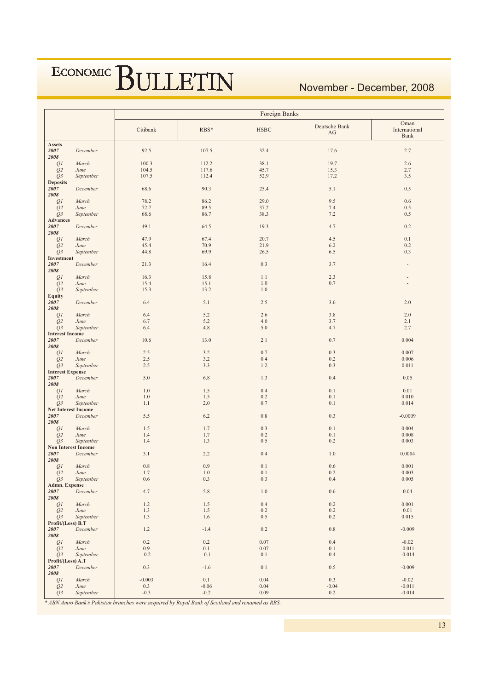#### November - December, 2008

|                                  |                                         | Foreign Banks |              |              |                                 |                                      |  |  |  |  |
|----------------------------------|-----------------------------------------|---------------|--------------|--------------|---------------------------------|--------------------------------------|--|--|--|--|
|                                  |                                         | Citibank      | $RBS*$       | <b>HSBC</b>  | Deutsche Bank<br>AG             | Oman<br>International<br><b>Bank</b> |  |  |  |  |
| <b>Assets</b>                    |                                         |               |              |              |                                 |                                      |  |  |  |  |
| 2007                             | December                                | 92.5          | 107.5        | 32.4         | 17.6                            | 2.7                                  |  |  |  |  |
| 2008<br>Q1                       | March                                   | 100.3         | 112.2        | 38.1         | 19.7                            | 2.6                                  |  |  |  |  |
| Q <sub>2</sub>                   | June                                    | 104.5         | 117.6        | 45.7         | 15.3                            | 2.7                                  |  |  |  |  |
| Q3                               | September                               | 107.5         | 112.4        | 52.9         | 17.2                            | 3.5                                  |  |  |  |  |
| <b>Deposits</b>                  |                                         |               |              |              |                                 |                                      |  |  |  |  |
| 2007                             | December                                | 68.6          | 90.3         | 25.4         | 5.1                             | $0.5\,$                              |  |  |  |  |
| 2008                             |                                         |               |              |              |                                 |                                      |  |  |  |  |
| Q1                               | March<br>June                           | 78.2<br>72.7  | 86.2<br>89.5 | 29.0<br>37.2 | 9.5<br>7.4                      | $0.6\,$<br>0.5                       |  |  |  |  |
| Q <sub>2</sub><br>Q3             | September                               | 68.6          | 86.7         | 38.3         | 7.2                             | 0.5                                  |  |  |  |  |
| <b>Advances</b>                  |                                         |               |              |              |                                 |                                      |  |  |  |  |
| 2007                             | December                                | 49.1          | 64.5         | 19.3         | 4.7                             | $0.2\,$                              |  |  |  |  |
| 2008                             |                                         |               |              |              |                                 |                                      |  |  |  |  |
| Q1                               | March                                   | 47.9          | 67.4         | 20.7         | 4.5                             | 0.1                                  |  |  |  |  |
| Q <sub>2</sub><br>Q <sub>3</sub> | June<br>September                       | 45.4<br>44.8  | 70.9<br>69.9 | 21.9<br>26.5 | 6.2<br>6.5                      | 0.2<br>0.3                           |  |  |  |  |
| Investment                       |                                         |               |              |              |                                 |                                      |  |  |  |  |
| 2007                             | December                                | 21.3          | 16.4         | 0.3          | 3.7                             |                                      |  |  |  |  |
| 2008                             |                                         |               |              |              |                                 |                                      |  |  |  |  |
| Q <sub>1</sub>                   | March                                   | 16.3          | 15.8         | 1.1          | 2.3                             |                                      |  |  |  |  |
| Q <sub>2</sub>                   | June<br>September                       | 15.4          | 15.1<br>13.2 | 1.0<br>1.0   | 0.7<br>$\overline{\phantom{a}}$ |                                      |  |  |  |  |
| Q3<br><b>Equity</b>              |                                         | 15.3          |              |              |                                 |                                      |  |  |  |  |
| 2007                             | December                                | 6.4           | 5.1          | 2.5          | 3.6                             | 2.0                                  |  |  |  |  |
| 2008                             |                                         |               |              |              |                                 |                                      |  |  |  |  |
| Q1                               | March                                   | 6.4           | 5.2          | 2.6          | 3.8                             | 2.0                                  |  |  |  |  |
| Q <sub>2</sub>                   | June                                    | 6.7           | 5.2          | 4.0          | 3.7                             | 2.1                                  |  |  |  |  |
| Q3<br><b>Interest Income</b>     | September                               | 6.4           | 4.8          | 5.0          | 4.7                             | 2.7                                  |  |  |  |  |
| 2007                             | December                                | 10.6          | 13.0         | 2.1          | $0.7\,$                         | 0.004                                |  |  |  |  |
| 2008                             |                                         |               |              |              |                                 |                                      |  |  |  |  |
| Q1                               | March                                   | 2.5           | 3.2          | 0.7          | 0.3                             | 0.007                                |  |  |  |  |
| Q <sub>2</sub>                   | June                                    | 2.5           | 3.2          | 0.4          | $0.2\,$                         | 0.006                                |  |  |  |  |
| Q3<br><b>Interest Expense</b>    | September                               | 2.5           | 3.3          | 1.2          | 0.3                             | 0.011                                |  |  |  |  |
| 2007                             | December                                | 5.0           | 6.8          | 1.3          | 0.4                             | 0.05                                 |  |  |  |  |
| 2008                             |                                         |               |              |              |                                 |                                      |  |  |  |  |
| Q1                               | March                                   | 1.0           | 1.5          | 0.4          | $0.1\,$                         | 0.01                                 |  |  |  |  |
| Q <sub>2</sub>                   | June                                    | 1.0           | 1.5          | 0.2          | 0.1                             | 0.010                                |  |  |  |  |
| Q <sub>3</sub>                   | September<br><b>Net Interest Income</b> | 1.1           | 2.0          | 0.7          | 0.1                             | 0.014                                |  |  |  |  |
| 2007                             | December                                | 5.5           | 6.2          | 0.8          | 0.3                             | $-0.0009$                            |  |  |  |  |
| 2008                             |                                         |               |              |              |                                 |                                      |  |  |  |  |
| Q1                               | March                                   | 1.5           | 1.7          | 0.3          | $0.1\,$                         | 0.004                                |  |  |  |  |
| Q <sub>2</sub>                   | June                                    | 1.4           | 1.7          | 0.2          | 0.1                             | 0.008                                |  |  |  |  |
| O <sub>3</sub>                   | September                               | 1.4           | 1.3          | 0.5          | 0.2                             | 0.003                                |  |  |  |  |
| 2007                             | <b>Non Interest Income</b><br>December  | 3.1           | 2.2          | 0.4          | 1.0                             | 0.0004                               |  |  |  |  |
| 2008                             |                                         |               |              |              |                                 |                                      |  |  |  |  |
| Q1                               | March                                   | $0.8\,$       | 0.9          | 0.1          | $0.6\,$                         | 0.001                                |  |  |  |  |
| O <sub>2</sub>                   | June                                    | 1.7           | 1.0          | 0.1          | 0.2                             | 0.003                                |  |  |  |  |
| $Q_3$                            | September                               | 0.6           | 0.3          | 0.3          | 0.4                             | 0.005                                |  |  |  |  |
| <b>Admn. Expense</b><br>2007     | December                                | 4.7           | 5.8          | $1.0\,$      | $0.6\,$                         | 0.04                                 |  |  |  |  |
| 2008                             |                                         |               |              |              |                                 |                                      |  |  |  |  |
| Q1                               | March                                   | 1.2           | 1.5          | 0.4          | $0.2\,$                         | 0.001                                |  |  |  |  |
| Q <sub>2</sub>                   | June                                    | 1.3           | 1.5          | $0.2\,$      | $0.2\,$                         | $0.01\,$                             |  |  |  |  |
| Q <sub>3</sub>                   | September                               | 1.3           | 1.6          | 0.5          | 0.2                             | 0.015                                |  |  |  |  |
| Profit/(Loss) B.T<br>2007        | December                                | 1.2           | $-1.4$       | 0.2          | $0.8\,$                         | $-0.009$                             |  |  |  |  |
| 2008                             |                                         |               |              |              |                                 |                                      |  |  |  |  |
| Q <sub>1</sub>                   | March                                   | 0.2           | 0.2          | 0.07         | 0.4                             | $-0.02$                              |  |  |  |  |
| Q <sub>2</sub>                   | June                                    | 0.9           | 0.1          | 0.07         | $0.1\,$                         | $-0.011$                             |  |  |  |  |
| $Q_3$                            | September                               | $-0.2$        | $-0.1$       | $0.1\,$      | 0.4                             | $-0.014$                             |  |  |  |  |
| Profit/(Loss) A.T<br>2007        |                                         |               |              |              |                                 |                                      |  |  |  |  |
| ${\bf 2008}$                     | December                                | 0.3           | $-1.6$       | 0.1          | 0.5                             | $-0.009$                             |  |  |  |  |
| $\mathcal{Q}$                    | March                                   | $-0.003$      | $0.1\,$      | 0.04         | 0.3                             | $-0.02$                              |  |  |  |  |
| Q2                               | June                                    | $0.3\,$       | $-0.06$      | 0.04         | $-0.04$                         | $-0.011$                             |  |  |  |  |
| Q3                               | September                               | $-0.3$        | $-0.2$       | 0.09         | $0.2\,$                         | $-0.014$                             |  |  |  |  |

 $*$  ABN Amro Bank's Pakistan branches were acquired by Royal Bank of Scotland and renamed as RBS.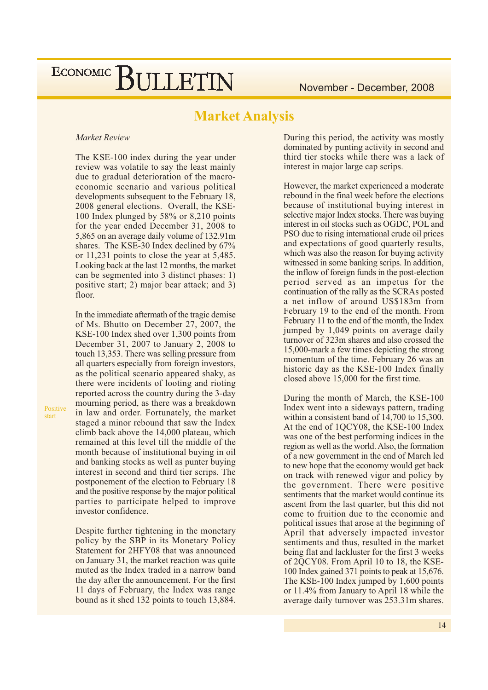### **Market Analysis**

#### Market Review

Positive

start

The KSE-100 index during the year under review was volatile to say the least mainly due to gradual deterioration of the macroeconomic scenario and various political developments subsequent to the February 18, 2008 general elections. Overall, the KSE-100 Index plunged by 58% or 8,210 points for the year ended December 31, 2008 to 5,865 on an average daily volume of 132.91m shares. The KSE-30 Index declined by 67% or 11,231 points to close the year at 5,485. Looking back at the last 12 months, the market can be segmented into 3 distinct phases: 1) positive start; 2) major bear attack; and 3) floor.

In the immediate aftermath of the tragic demise of Ms. Bhutto on December 27, 2007, the KSE-100 Index shed over 1,300 points from December 31, 2007 to January 2, 2008 to touch 13,353. There was selling pressure from all quarters especially from foreign investors, as the political scenario appeared shaky, as there were incidents of looting and rioting reported across the country during the 3-day mourning period, as there was a breakdown in law and order. Fortunately, the market staged a minor rebound that saw the Index climb back above the 14,000 plateau, which remained at this level till the middle of the month because of institutional buying in oil and banking stocks as well as punter buying interest in second and third tier scrips. The postponement of the election to February 18 and the positive response by the major political parties to participate helped to improve investor confidence.

Despite further tightening in the monetary policy by the SBP in its Monetary Policy Statement for 2HFY08 that was announced on January 31, the market reaction was quite muted as the Index traded in a narrow band the day after the announcement. For the first 11 days of February, the Index was range bound as it shed 132 points to touch 13,884.

During this period, the activity was mostly dominated by punting activity in second and third tier stocks while there was a lack of interest in major large cap scrips.

However, the market experienced a moderate rebound in the final week before the elections because of institutional buying interest in selective major Index stocks. There was buying interest in oil stocks such as OGDC, POL and PSO due to rising international crude oil prices and expectations of good quarterly results, which was also the reason for buying activity witnessed in some banking scrips. In addition, the inflow of foreign funds in the post-election period served as an impetus for the continuation of the rally as the SCRAs posted a net inflow of around US\$183m from February 19 to the end of the month. From February 11 to the end of the month, the Index jumped by 1,049 points on average daily turnover of 323m shares and also crossed the 15,000-mark a few times depicting the strong momentum of the time. February 26 was an historic day as the KSE-100 Index finally closed above 15,000 for the first time.

During the month of March, the KSE-100 Index went into a sideways pattern, trading within a consistent band of  $14,700$  to  $15,300$ . At the end of 1OCY08, the KSE-100 Index was one of the best performing indices in the region as well as the world. Also, the formation of a new government in the end of March led to new hope that the economy would get back on track with renewed vigor and policy by the government. There were positive sentiments that the market would continue its ascent from the last quarter, but this did not come to fruition due to the economic and political issues that arose at the beginning of April that adversely impacted investor sentiments and thus, resulted in the market being flat and lackluster for the first 3 weeks of 2QCY08. From April 10 to 18, the KSE-100 Index gained 371 points to peak at 15,676. The KSE-100 Index jumped by  $1,600$  points or 11.4% from January to April 18 while the average daily turnover was 253.31m shares.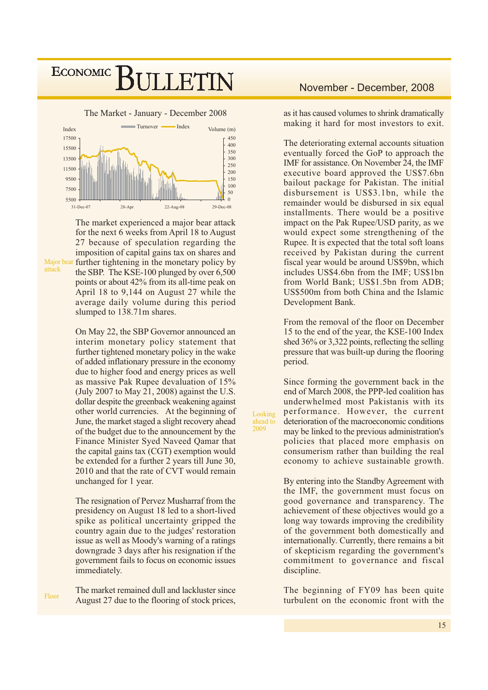

The market experienced a major bear attack for the next 6 weeks from April 18 to August 27 because of speculation regarding the imposition of capital gains tax on shares and further tightening in the monetary policy by the SBP. The KSE-100 plunged by over 6,500 points or about 42% from its all-time peak on April 18 to 9,144 on August 27 while the average daily volume during this period slumped to 138.71m shares.

On May 22, the SBP Governor announced an interim monetary policy statement that further tightened monetary policy in the wake of added inflationary pressure in the economy due to higher food and energy prices as well as massive Pak Rupee devaluation of 15% (July 2007 to May 21, 2008) against the U.S. dollar despite the greenback weakening against other world currencies. At the beginning of June, the market staged a slight recovery ahead of the budget due to the announcement by the Finance Minister Syed Naveed Qamar that the capital gains tax (CGT) exemption would be extended for a further 2 years till June 30, 2010 and that the rate of CVT would remain unchanged for 1 year.

The resignation of Pervez Musharraf from the presidency on August 18 led to a short-lived spike as political uncertainty gripped the country again due to the judges' restoration issue as well as Moody's warning of a ratings downgrade 3 days after his resignation if the government fails to focus on economic issues immediately.

The market remained dull and lackluster since Floor August 27 due to the flooring of stock prices,

#### November - December, 2008

as it has caused volumes to shrink dramatically making it hard for most investors to exit.

The deteriorating external accounts situation eventually forced the GoP to approach the IMF for assistance. On November 24, the IMF executive board approved the US\$7.6bn bailout package for Pakistan. The initial disbursement is US\$3.1bn, while the remainder would be disbursed in six equal installments. There would be a positive impact on the Pak Rupee/USD parity, as we would expect some strengthening of the Rupee. It is expected that the total soft loans received by Pakistan during the current fiscal year would be around US\$9bn, which includes US\$4.6bn from the IMF; US\$1bn from World Bank; US\$1.5bn from ADB; US\$500m from both China and the Islamic Development Bank.

From the removal of the floor on December 15 to the end of the year, the KSE-100 Index shed  $36\%$  or 3,322 points, reflecting the selling pressure that was built-up during the flooring period.

Since forming the government back in the end of March 2008, the PPP-led coalition has underwhelmed most Pakistanis with its performance. However, the current deterioration of the macroeconomic conditions may be linked to the previous administration's policies that placed more emphasis on consumerism rather than building the real economy to achieve sustainable growth.

Looking

ahead to  $\frac{1000}{2009}$ 

> By entering into the Standby Agreement with the IMF, the government must focus on good governance and transparency. The achievement of these objectives would go a long way towards improving the credibility of the government both domestically and internationally. Currently, there remains a bit of skepticism regarding the government's commitment to governance and fiscal discipline.

> The beginning of FY09 has been quite turbulent on the economic front with the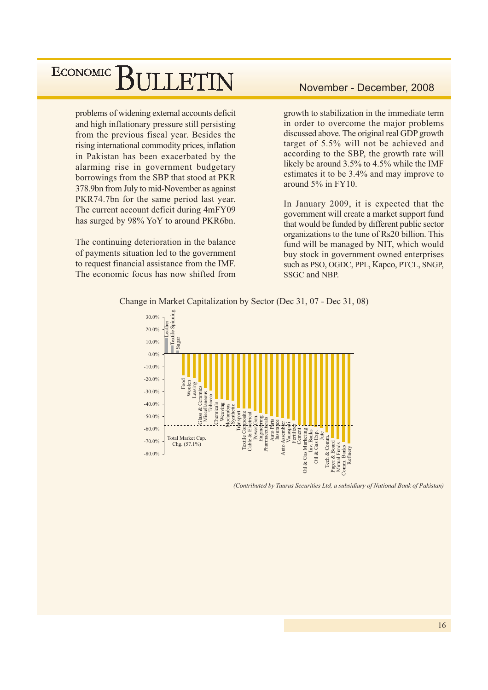problems of widening external accounts deficit and high inflationary pressure still persisting from the previous fiscal year. Besides the rising international commodity prices, inflation in Pakistan has been exacerbated by the alarming rise in government budgetary borrowings from the SBP that stood at PKR 378.9bn from July to mid-November as against PKR74.7bn for the same period last year. The current account deficit during 4mFY09 has surged by 98% YoY to around PKR6bn.

The continuing deterioration in the balance of payments situation led to the government to request financial assistance from the IMF. The economic focus has now shifted from

#### November - December, 2008

growth to stabilization in the immediate term in order to overcome the major problems discussed above. The original real GDP growth target of 5.5% will not be achieved and according to the SBP, the growth rate will likely be around 3.5% to 4.5% while the IMF estimates it to be 3.4% and may improve to around  $5\%$  in FY10.

In January 2009, it is expected that the government will create a market support fund that would be funded by different public sector organizations to the tune of Rs20 billion. This fund will be managed by NIT, which would buy stock in government owned enterprises such as PSO, OGDC, PPL, Kapco, PTCL, SNGP, SSGC and NBP.



Change in Market Capitalization by Sector (Dec 31, 07 - Dec 31, 08)

(Contributed by Taurus Securities Ltd, a subsidiary of National Bank of Pakistan)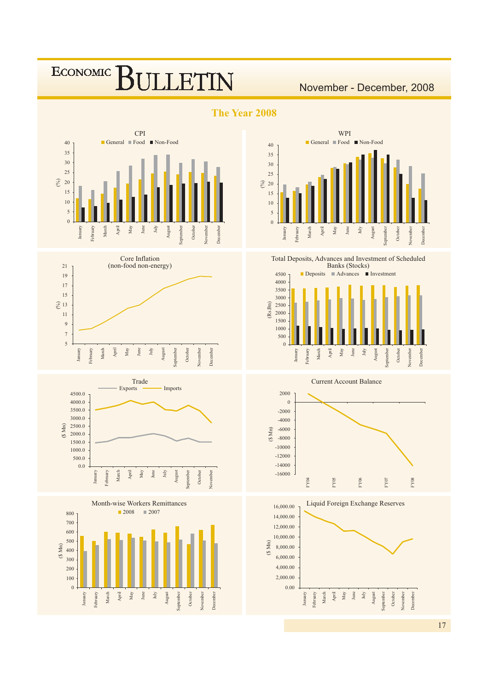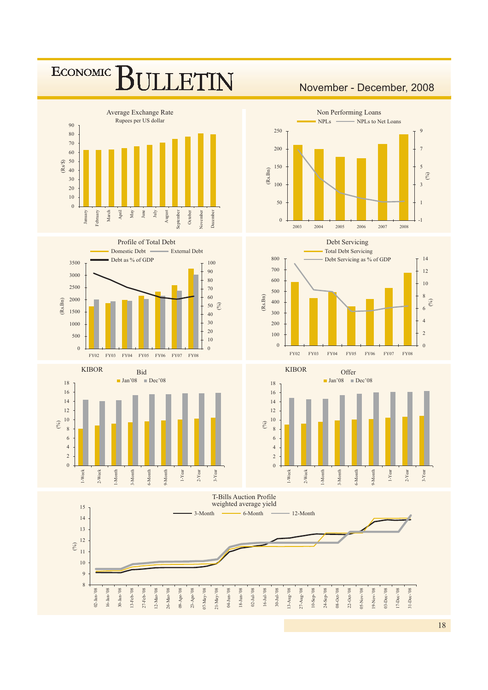

####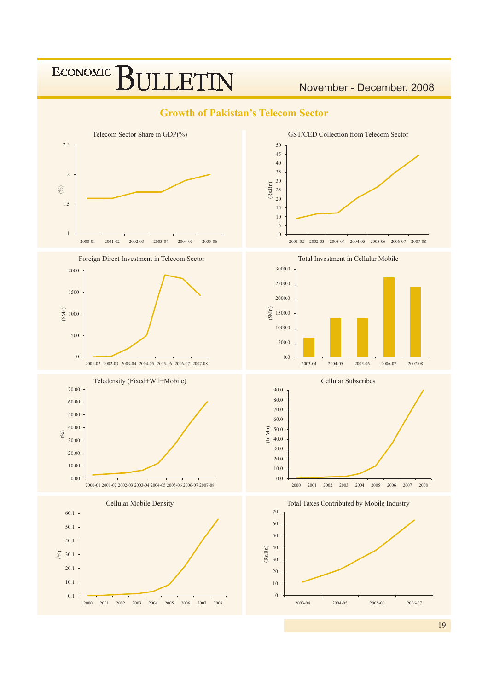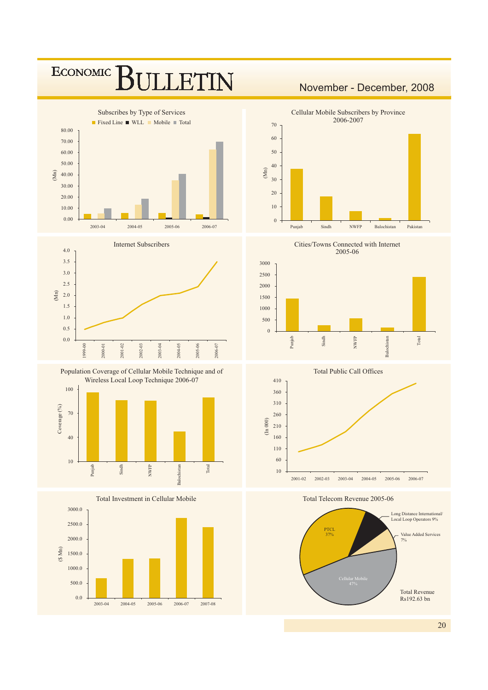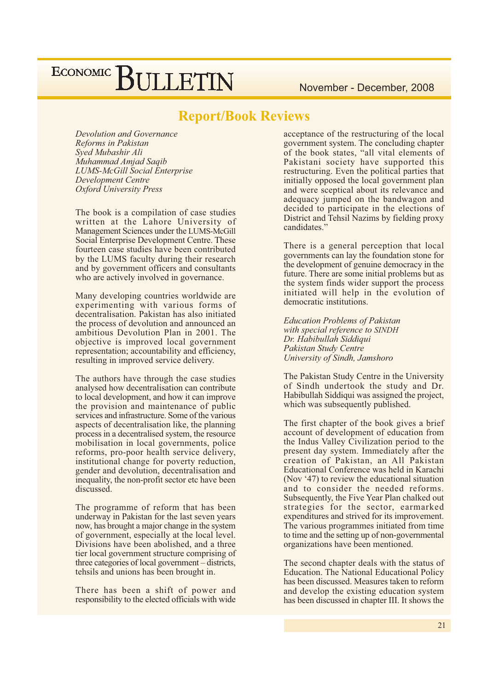November - December, 2008

#### **Report/Book Reviews**

Devolution and Governance Reforms in Pakistan Syed Mubashir Ali Muhammad Amjad Saqib **LUMS-McGill Social Enterprise Development Centre Oxford University Press** 

The book is a compilation of case studies written at the Lahore University of Management Sciences under the LUMS-McGill Social Enterprise Development Centre. These fourteen case studies have been contributed by the LUMS faculty during their research and by government officers and consultants who are actively involved in governance.

Many developing countries worldwide are experimenting with various forms of decentralisation. Pakistan has also initiated the process of devolution and announced an ambitious Devolution Plan in 2001. The objective is improved local government representation; accountability and efficiency, resulting in improved service delivery.

The authors have through the case studies analysed how decentralisation can contribute to local development, and how it can improve the provision and maintenance of public services and infrastructure. Some of the various aspects of decentralisation like, the planning process in a decentralised system, the resource mobilisation in local governments, police reforms, pro-poor health service delivery, institutional change for poverty reduction, gender and devolution, decentralisation and inequality, the non-profit sector etc have been discussed.

The programme of reform that has been underway in Pakistan for the last seven years now, has brought a major change in the system of government, especially at the local level. Divisions have been abolished, and a three tier local government structure comprising of three categories of local government – districts, tehsils and unions has been brought in.

There has been a shift of power and responsibility to the elected officials with wide acceptance of the restructuring of the local government system. The concluding chapter of the book states, "all vital elements of Pakistani society have supported this restructuring. Even the political parties that initially opposed the local government plan and were sceptical about its relevance and adequacy jumped on the bandwagon and decided to participate in the elections of District and Tehsil Nazims by fielding proxy candidates."

There is a general perception that local governments can lay the foundation stone for the development of genuine democracy in the future. There are some initial problems but as the system finds wider support the process initiated will help in the evolution of democratic institutions.

**Education Problems of Pakistan** with special reference to SINDH Dr. Habibullah Siddiqui Pakistan Study Centre University of Sindh, Jamshoro

The Pakistan Study Centre in the University of Sindh undertook the study and Dr. Habibullah Siddiqui was assigned the project, which was subsequently published.

The first chapter of the book gives a brief account of development of education from the Indus Valley Civilization period to the present day system. Immediately after the creation of Pakistan, an All Pakistan Educational Conference was held in Karachi (Nov '47) to review the educational situation and to consider the needed reforms. Subsequently, the Five Year Plan chalked out strategies for the sector, earmarked expenditures and strived for its improvement. The various programmes initiated from time to time and the setting up of non-governmental organizations have been mentioned.

The second chapter deals with the status of Education. The National Educational Policy has been discussed. Measures taken to reform and develop the existing education system has been discussed in chapter III. It shows the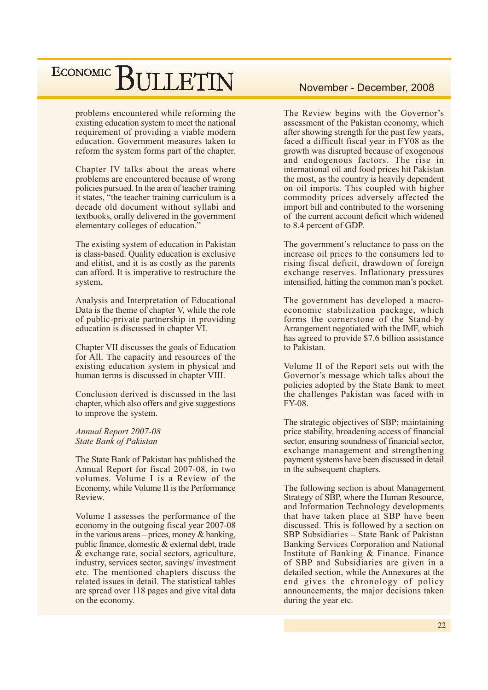problems encountered while reforming the existing education system to meet the national requirement of providing a viable modern education. Government measures taken to reform the system forms part of the chapter.

Chapter IV talks about the areas where problems are encountered because of wrong policies pursued. In the area of teacher training it states, "the teacher training curriculum is a decade old document without syllabi and textbooks, orally delivered in the government elementary colleges of education."

The existing system of education in Pakistan is class-based. Quality education is exclusive and elitist, and it is as costly as the parents can afford. It is imperative to restructure the system.

Analysis and Interpretation of Educational Data is the theme of chapter V, while the role of public-private partnership in providing education is discussed in chapter VI.

Chapter VII discusses the goals of Education for All. The capacity and resources of the existing education system in physical and human terms is discussed in chapter VIII.

Conclusion derived is discussed in the last chapter, which also offers and give suggestions to improve the system.

Annual Report 2007-08 **State Bank of Pakistan** 

The State Bank of Pakistan has published the Annual Report for fiscal 2007-08, in two volumes. Volume I is a Review of the Economy, while Volume II is the Performance Review.

Volume I assesses the performance of the economy in the outgoing fiscal year 2007-08 in the various areas – prices, money  $\&$  banking, public finance, domestic & external debt, trade & exchange rate, social sectors, agriculture, industry, services sector, savings/investment etc. The mentioned chapters discuss the related issues in detail. The statistical tables are spread over 118 pages and give vital data on the economy.

#### November - December, 2008

The Review begins with the Governor's assessment of the Pakistan economy, which after showing strength for the past few years, faced a difficult fiscal year in FY08 as the growth was disrupted because of exogenous and endogenous factors. The rise in international oil and food prices hit Pakistan the most, as the country is heavily dependent on oil imports. This coupled with higher commodity prices adversely affected the import bill and contributed to the worsening of the current account deficit which widened to 8.4 percent of GDP.

The government's reluctance to pass on the increase oil prices to the consumers led to rising fiscal deficit, drawdown of foreign exchange reserves. Inflationary pressures intensified, hitting the common man's pocket.

The government has developed a macroeconomic stabilization package, which forms the cornerstone of the Stand-by Arrangement negotiated with the IMF, which has agreed to provide \$7.6 billion assistance to Pakistan.

Volume II of the Report sets out with the Governor's message which talks about the policies adopted by the State Bank to meet the challenges Pakistan was faced with in FY-08.

The strategic objectives of SBP; maintaining price stability, broadening access of financial sector, ensuring soundness of financial sector, exchange management and strengthening payment systems have been discussed in detail in the subsequent chapters.

The following section is about Management Strategy of SBP, where the Human Resource, and Information Technology developments that have taken place at SBP have been discussed. This is followed by a section on SBP Subsidiaries - State Bank of Pakistan Banking Services Corporation and National Institute of Banking & Finance. Finance of SBP and Subsidiaries are given in a detailed section, while the Annexures at the end gives the chronology of policy announcements, the major decisions taken during the year etc.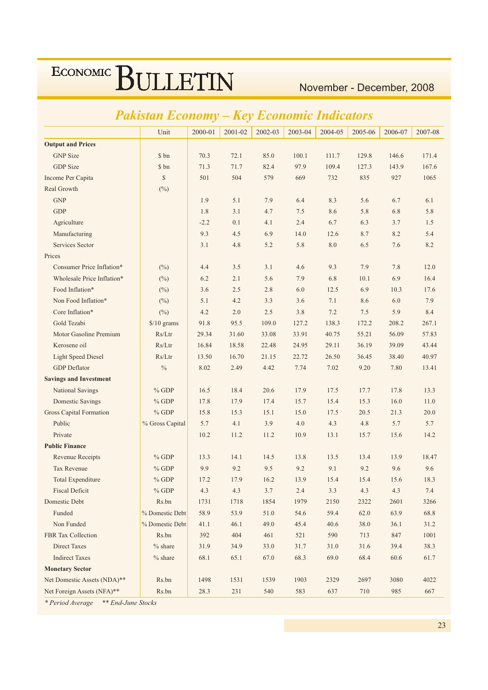November - December, 2008

#### $2001 - 02$ Unit  $2000 - 01$  $2002 - 03$ 2003-04 2004-05 2005-06 2006-07 2007-08 **Output and Prices GNP** Size \$ bn 70.3  $72.1$ 85.0  $100.1$ 111.7 129.8 146.6 171.4 **GDP** Size \$ bn  $71.3$ 97.9 109.4  $71.7$ 82.4 127.3 143.9 167.6 Income Per Capita  $\mathcal{S}$  $501$  $504$ 579 669  $732$ 835  $927$ 1065 Real Growth  $(%)$ **GNP** 1.9  $5.1$ 7.9  $6.4$ 8.3 5.6 6.7  $6.1$ **GDP** 1.8  $3.1$  $4.7$  $7.5$ 8.6 5.8 6.8 5.8 Agriculture  $-2.2$  $0.1$  $4.1$  $2.4$ 6.7 6.3  $3.7$ 1.5 9.3  $45$ 6.9 14.0 8.7 Manufacturing  $126$ 8.2  $5.4$ Services Sector  $3<sub>1</sub>$  $4.8$  $52$ 5.8 8.0 6.5 76 82 Prices Consumer Price Inflation\* 9.3 7.9 7.8 12.0  $(^{0}_{0})$  $4.4$  $3.5$  $3.1$  $4.6$ Wholesale Price Inflation\*  $(%)$ 6.2  $2.1$ 5.6 7.9 6.8  $10.1$ 6.9 16.4 Food Inflation\*  $(\%)$  $3.6$  $2.5$ 2.8  $6.0$ 12.5 6.9  $10.3$ 17.6 Non Food Inflation\*  $(^{0}_{0})$  $5.1$  $4.2$  $3.3$  $3.6$  $7.1$ 8.6 6.0 7.9 Core Inflation\* 8.4  $\Delta$  2  $20$  $25$  $3.8$  $72$  $7.5$  $59$  $(\%)$ Gold Tezabi  $$/10$  grams 91.8 95.5  $1090$  $1272$ 1383 208.2 267.1 172.2 Motor Gasoline Premium  $Rs/Ltr$ 29.34 31.60 33.08 33.91 40.75 55.21 56.09 57.83 Kerosene oil  $Rs/Ltr$ 16.84 18.58 22.48 24.95 29.11 36.19 39.09 43.44 **Light Speed Diesel**  $Rs/Ltr$ 21.15 13.50 16.70 22.72 26.50 36.45 38.40 40.97 **GDP** Deflator  $\frac{0}{0}$ 8.02 2.49 4.42 7.74 7.02 9.20 7.80 13.41 **Savings and Investment National Savings**  $%$  GDP 16.5 18.4 20.6 17.9 17.5 17.7 17.8 13.3  $%$  GDP **Domestic Savings** 178  $179$  $174$  $157$  $154$  $153$  $160$  $110$ Gross Capital Formation  $%$  GDP  $15.8$  $153$  $151$  $150$  $17<sub>5</sub>$  $20<sub>5</sub>$  $213$  $200$ Public % Gross Capital 5.7  $4.1$  $3.9$  $4.0$  $4.3$ 4.8 5.7 5.7 Private  $102$ 11.2  $112$ 10.9 13.1 15.7 15.6  $142$ **Public Finance Revenue Receipts**  $%$  GDP 13.3 14.1 14.5 13.8 13.5 13.4 13.9 18.47 Tax Revenue 9.9  $92$ 9.5  $9<sub>2</sub>$ 9.1  $%$  GDP 9.2 9.6 9.6 Total Expenditure  $%$  GDP  $172$ 17.9  $16.2$ 13.9 15.4 18.3 15.4 15.6 **Fiscal Deficit**  $% GDP$  $4.3$  $4.3$  $3.7$  $2.4$  $33$  $4.3$  $4.3$  $74$ Domestic Debt Rs.bn 1731 1718 1854 1979 2150 2322 2601 3266 Funded % Domestic Debt 58.9 53.9 51.0 54.6 59.4 62.0 63.9 68.8 Non Funded % Domestic Debt  $41.1$  $46.1$ 49.0  $45.4$ 40.6 38.0  $36.1$  $31.2$ FBR Tax Collection Rs.bn 392 404 461 521 590 713 847 1001 Direct Taxes  $%$  share 31.9 34.9 33.0 31.7 31.0 31.6 39.4 383 **Indirect Taxes**  $\frac{0}{6}$  chare 68.1 65.1 68.3 69.0 68.4 67.0 60.6 617 **Monetary Sector** Net Domestic Assets (NDA)\*\* Rs.bn 1498 1531 1539 1903 2329 2697 3080 4022 Net Foreign Assets (NFA)\*\* Rs.bn 28.3 231 540 583 637 710 985 667

## **Pakistan Economy - Key Economic Indicators**

\* Period Average \*\* End-June Stocks